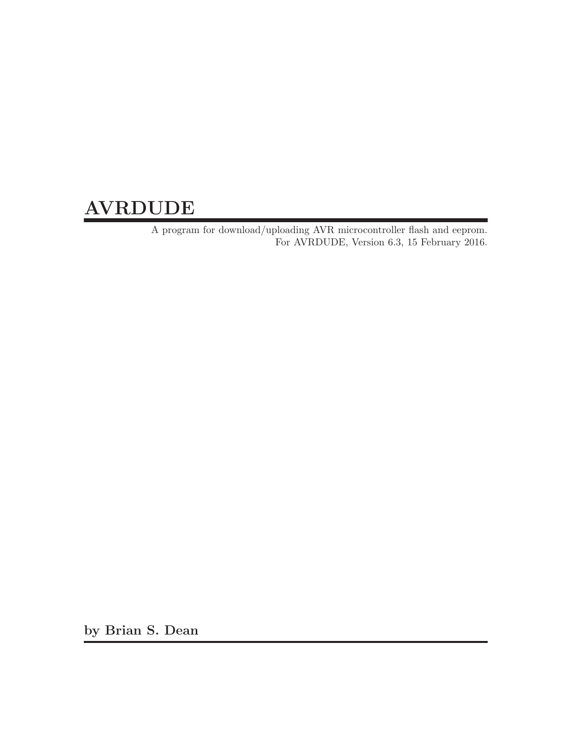# AVRDUDE

A program for download/uploading AVR microcontroller flash and eeprom. For AVRDUDE, Version 6.3, 15 February 2016.

by Brian S. Dean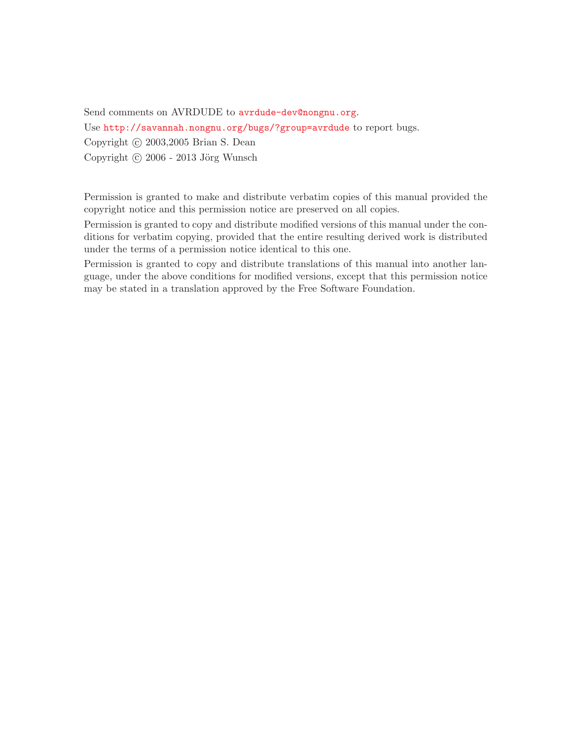Send comments on AVRDUDE to [avrdude-dev@nongnu.org](mailto:avrdude-dev@nongnu.org).

Use <http://savannah.nongnu.org/bugs/?group=avrdude> to report bugs.

Copyright (c) 2003, 2005 Brian S. Dean

Copyright  $\odot$  2006 - 2013 Jörg Wunsch

Permission is granted to make and distribute verbatim copies of this manual provided the copyright notice and this permission notice are preserved on all copies.

Permission is granted to copy and distribute modified versions of this manual under the conditions for verbatim copying, provided that the entire resulting derived work is distributed under the terms of a permission notice identical to this one.

Permission is granted to copy and distribute translations of this manual into another language, under the above conditions for modified versions, except that this permission notice may be stated in a translation approved by the Free Software Foundation.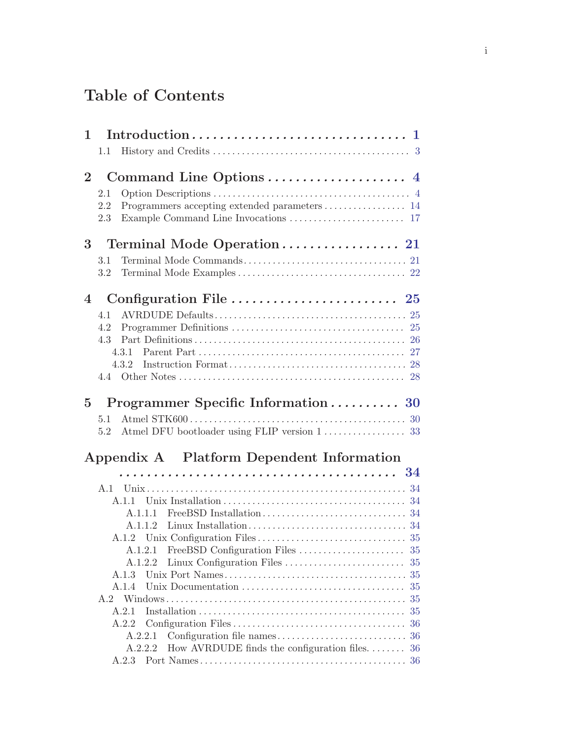# Table of Contents

| 1              |                                                          |          |
|----------------|----------------------------------------------------------|----------|
|                | 1.1                                                      |          |
| 2 <sup>1</sup> |                                                          |          |
|                | 2.1                                                      |          |
|                | 2.2                                                      |          |
|                | 2.3                                                      |          |
| 3 <sup>1</sup> |                                                          |          |
|                | 3.1                                                      |          |
|                | 3.2                                                      |          |
| $\overline{4}$ |                                                          |          |
|                | 4.1                                                      |          |
|                | 4.2                                                      |          |
|                | 4.3                                                      |          |
|                |                                                          |          |
|                |                                                          |          |
|                |                                                          |          |
|                |                                                          |          |
| $\overline{5}$ | Programmer Specific Information 30                       |          |
|                | 5.1                                                      |          |
|                | 5.2                                                      |          |
|                | Appendix A Platform Dependent Information                |          |
|                |                                                          |          |
|                |                                                          |          |
|                |                                                          |          |
|                | A.1.1.1                                                  |          |
|                |                                                          |          |
|                |                                                          |          |
|                |                                                          |          |
|                | A.1.2.2                                                  |          |
|                | A.1.3                                                    |          |
|                | A.1.4                                                    | 35       |
|                | A.2                                                      | 35<br>35 |
|                | A.2.1<br>A.2.2                                           | 36       |
|                | A.2.2.1                                                  | 36       |
|                | How AVRDUDE finds the configuration files. 36<br>A.2.2.2 |          |
|                | A.2.3                                                    |          |
|                |                                                          |          |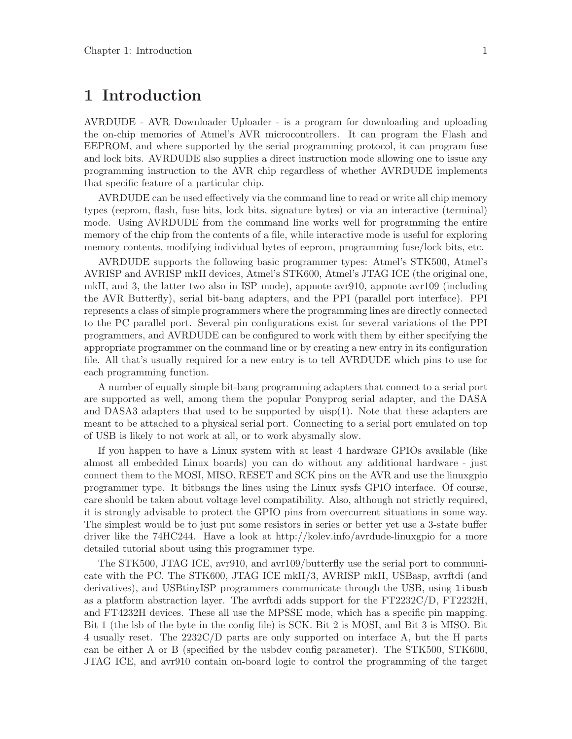# <span id="page-4-0"></span>1 Introduction

AVRDUDE - AVR Downloader Uploader - is a program for downloading and uploading the on-chip memories of Atmel's AVR microcontrollers. It can program the Flash and EEPROM, and where supported by the serial programming protocol, it can program fuse and lock bits. AVRDUDE also supplies a direct instruction mode allowing one to issue any programming instruction to the AVR chip regardless of whether AVRDUDE implements that specific feature of a particular chip.

AVRDUDE can be used effectively via the command line to read or write all chip memory types (eeprom, flash, fuse bits, lock bits, signature bytes) or via an interactive (terminal) mode. Using AVRDUDE from the command line works well for programming the entire memory of the chip from the contents of a file, while interactive mode is useful for exploring memory contents, modifying individual bytes of eeprom, programming fuse/lock bits, etc.

AVRDUDE supports the following basic programmer types: Atmel's STK500, Atmel's AVRISP and AVRISP mkII devices, Atmel's STK600, Atmel's JTAG ICE (the original one, mkII, and 3, the latter two also in ISP mode), appnote avr910, appnote avr109 (including the AVR Butterfly), serial bit-bang adapters, and the PPI (parallel port interface). PPI represents a class of simple programmers where the programming lines are directly connected to the PC parallel port. Several pin configurations exist for several variations of the PPI programmers, and AVRDUDE can be configured to work with them by either specifying the appropriate programmer on the command line or by creating a new entry in its configuration file. All that's usually required for a new entry is to tell AVRDUDE which pins to use for each programming function.

A number of equally simple bit-bang programming adapters that connect to a serial port are supported as well, among them the popular Ponyprog serial adapter, and the DASA and DASA3 adapters that used to be supported by uisp(1). Note that these adapters are meant to be attached to a physical serial port. Connecting to a serial port emulated on top of USB is likely to not work at all, or to work abysmally slow.

If you happen to have a Linux system with at least 4 hardware GPIOs available (like almost all embedded Linux boards) you can do without any additional hardware - just connect them to the MOSI, MISO, RESET and SCK pins on the AVR and use the linuxgpio programmer type. It bitbangs the lines using the Linux sysfs GPIO interface. Of course, care should be taken about voltage level compatibility. Also, although not strictly required, it is strongly advisable to protect the GPIO pins from overcurrent situations in some way. The simplest would be to just put some resistors in series or better yet use a 3-state buffer driver like the 74HC244. Have a look at http://kolev.info/avrdude-linuxgpio for a more detailed tutorial about using this programmer type.

The STK500, JTAG ICE, avr910, and avr109/butterfly use the serial port to communicate with the PC. The STK600, JTAG ICE mkII/3, AVRISP mkII, USBasp, avrftdi (and derivatives), and USBtinyISP programmers communicate through the USB, using libusb as a platform abstraction layer. The avrftdi adds support for the FT2232C/D, FT2232H, and FT4232H devices. These all use the MPSSE mode, which has a specific pin mapping. Bit 1 (the lsb of the byte in the config file) is SCK. Bit 2 is MOSI, and Bit 3 is MISO. Bit 4 usually reset. The 2232C/D parts are only supported on interface A, but the H parts can be either A or B (specified by the usbdev config parameter). The STK500, STK600, JTAG ICE, and avr910 contain on-board logic to control the programming of the target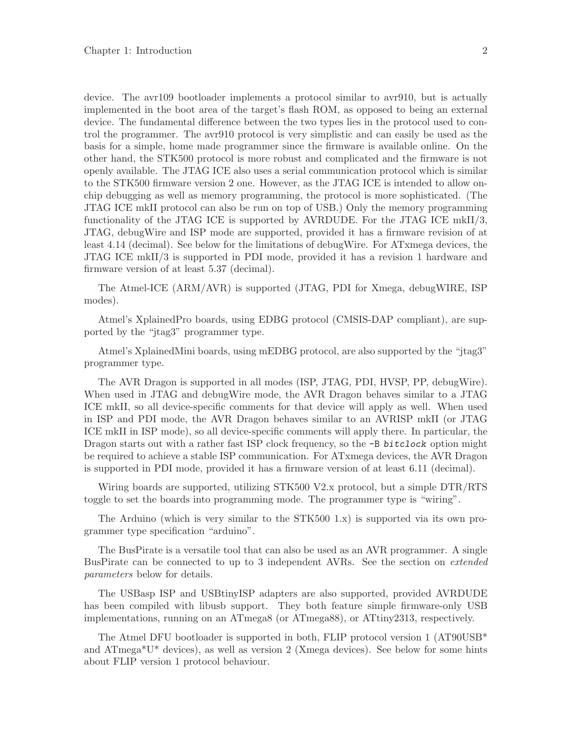device. The avr109 bootloader implements a protocol similar to avr910, but is actually implemented in the boot area of the target's flash ROM, as opposed to being an external device. The fundamental difference between the two types lies in the protocol used to control the programmer. The avr910 protocol is very simplistic and can easily be used as the basis for a simple, home made programmer since the firmware is available online. On the other hand, the STK500 protocol is more robust and complicated and the firmware is not openly available. The JTAG ICE also uses a serial communication protocol which is similar to the STK500 firmware version 2 one. However, as the JTAG ICE is intended to allow onchip debugging as well as memory programming, the protocol is more sophisticated. (The JTAG ICE mkII protocol can also be run on top of USB.) Only the memory programming functionality of the JTAG ICE is supported by AVRDUDE. For the JTAG ICE mkII/3, JTAG, debugWire and ISP mode are supported, provided it has a firmware revision of at least 4.14 (decimal). See below for the limitations of debugWire. For ATxmega devices, the JTAG ICE mkII/3 is supported in PDI mode, provided it has a revision 1 hardware and firmware version of at least 5.37 (decimal).

The Atmel-ICE (ARM/AVR) is supported (JTAG, PDI for Xmega, debugWIRE, ISP modes).

Atmel's XplainedPro boards, using EDBG protocol (CMSIS-DAP compliant), are supported by the "jtag3" programmer type.

Atmel's XplainedMini boards, using mEDBG protocol, are also supported by the "jtag3" programmer type.

The AVR Dragon is supported in all modes (ISP, JTAG, PDI, HVSP, PP, debugWire). When used in JTAG and debugWire mode, the AVR Dragon behaves similar to a JTAG ICE mkII, so all device-specific comments for that device will apply as well. When used in ISP and PDI mode, the AVR Dragon behaves similar to an AVRISP mkII (or JTAG ICE mkII in ISP mode), so all device-specific comments will apply there. In particular, the Dragon starts out with a rather fast ISP clock frequency, so the  $-B$  bitclock option might be required to achieve a stable ISP communication. For ATxmega devices, the AVR Dragon is supported in PDI mode, provided it has a firmware version of at least 6.11 (decimal).

Wiring boards are supported, utilizing STK500 V2.x protocol, but a simple DTR/RTS toggle to set the boards into programming mode. The programmer type is "wiring".

The Arduino (which is very similar to the STK500 1.x) is supported via its own programmer type specification "arduino".

The BusPirate is a versatile tool that can also be used as an AVR programmer. A single BusPirate can be connected to up to 3 independent AVRs. See the section on *extended* parameters below for details.

The USBasp ISP and USBtinyISP adapters are also supported, provided AVRDUDE has been compiled with libusb support. They both feature simple firmware-only USB implementations, running on an ATmega8 (or ATmega88), or ATtiny2313, respectively.

The Atmel DFU bootloader is supported in both, FLIP protocol version 1 (AT90USB\* and  $ATmega*U*$  devices), as well as version 2 (Xmega devices). See below for some hints about FLIP version 1 protocol behaviour.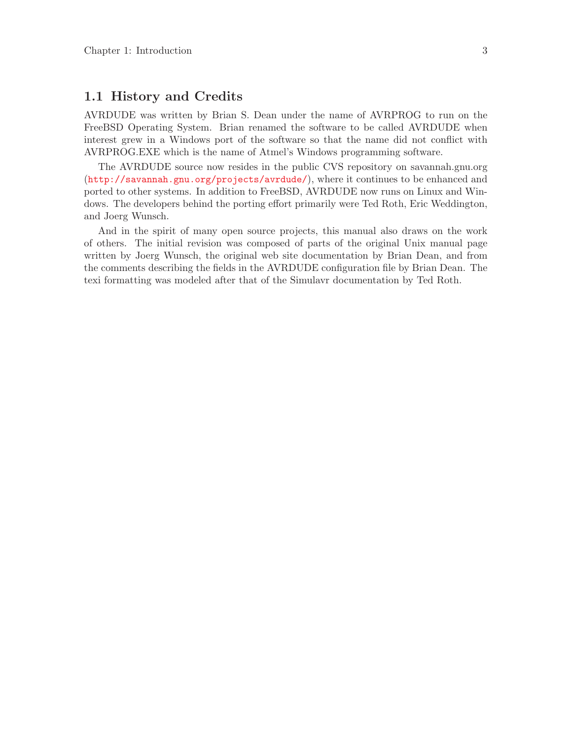# <span id="page-6-0"></span>1.1 History and Credits

AVRDUDE was written by Brian S. Dean under the name of AVRPROG to run on the FreeBSD Operating System. Brian renamed the software to be called AVRDUDE when interest grew in a Windows port of the software so that the name did not conflict with AVRPROG.EXE which is the name of Atmel's Windows programming software.

The AVRDUDE source now resides in the public CVS repository on savannah.gnu.org (<http://savannah.gnu.org/projects/avrdude/>), where it continues to be enhanced and ported to other systems. In addition to FreeBSD, AVRDUDE now runs on Linux and Windows. The developers behind the porting effort primarily were Ted Roth, Eric Weddington, and Joerg Wunsch.

And in the spirit of many open source projects, this manual also draws on the work of others. The initial revision was composed of parts of the original Unix manual page written by Joerg Wunsch, the original web site documentation by Brian Dean, and from the comments describing the fields in the AVRDUDE configuration file by Brian Dean. The texi formatting was modeled after that of the Simulavr documentation by Ted Roth.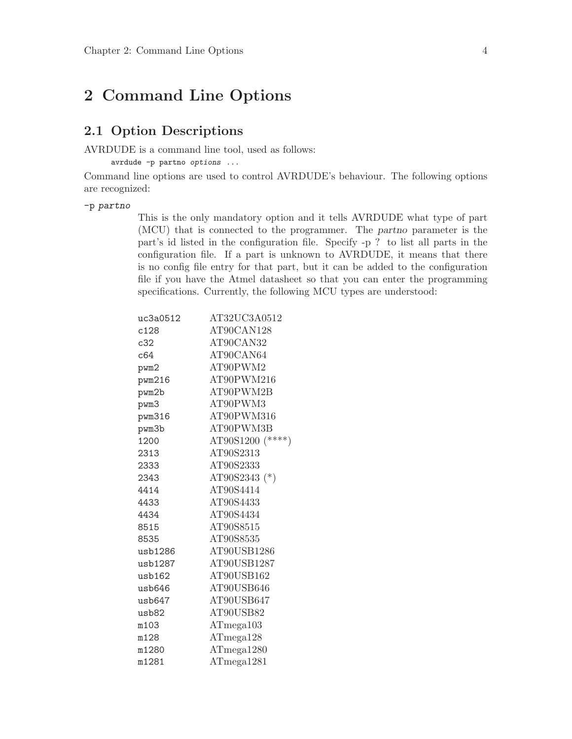# <span id="page-7-0"></span>2 Command Line Options

# 2.1 Option Descriptions

AVRDUDE is a command line tool, used as follows:

avrdude -p partno options ...

Command line options are used to control AVRDUDE's behaviour. The following options are recognized:

#### -p partno

This is the only mandatory option and it tells AVRDUDE what type of part (MCU) that is connected to the programmer. The partno parameter is the part's id listed in the configuration file. Specify -p ? to list all parts in the configuration file. If a part is unknown to AVRDUDE, it means that there is no config file entry for that part, but it can be added to the configuration file if you have the Atmel datasheet so that you can enter the programming specifications. Currently, the following MCU types are understood:

| uc3a0512     | AT32UC3A0512         |
|--------------|----------------------|
| c128         | AT90CAN128           |
| c32          | AT90CAN32            |
| c64          | AT90CAN64            |
| pwm2         | AT90PWM2             |
| pwm216       | AT90PWM216           |
| pwm2b        | AT90PWM2B            |
| pwm3         | AT90PWM3             |
| pwm316       | AT90PWM316           |
| pwm3b        | AT90PWM3B            |
| 1200         | AT90S1200 (****)     |
| 2313         | AT90S2313            |
| 2333         | AT90S2333            |
| 2343         | AT90S2343 (*)        |
| 4414         | AT90S4414            |
| 4433         | AT90S4433            |
| 4434         | AT90S4434            |
| 8515         | AT90S8515            |
| 8535         | AT90S8535            |
| usb1286      | AT90USB1286          |
| usb1287      | AT90USB1287          |
| $u$ sb $162$ | AT90USB162           |
| usb646       | AT90USB646           |
| usb647       | AT90USB647           |
| $u$ s $b82$  | AT90USB82            |
| m103         | ATmega103            |
| m128         | ATmag <sub>128</sub> |
| m1280        | ATmega1280           |
| m1281        | ATmega1281           |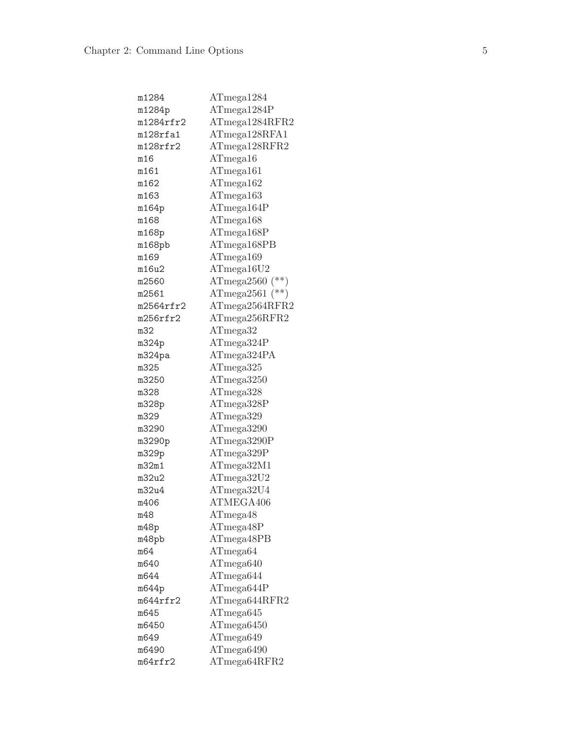| m1284           | ATmega1284        |
|-----------------|-------------------|
| m1284p          | ATmega1284P       |
| $m1284$ rfr $2$ | ATmega1284RFR2    |
| m128rfa1        | ATmega128RFA1     |
| $m128$ rfr $2$  | ATmega128RFR2     |
| m16             | ATmega16          |
| m161            | ATmega161         |
| m162            | ATmega162         |
| m163            | ATmega163         |
| m164p           | ATmega164P        |
| m168            | ATmega168         |
| m168p           | ATmega168P        |
| m168pb          | ATmega168PB       |
| m169            | ATmega169         |
| m16u2           | ATmega16U2        |
| m2560           | ATmega2560 $(**)$ |
| m2561           | ATmega2561 $(**)$ |
| m2564rfr2       | ATmega2564RFR2    |
| m256rfr2        | ATmega256RFR2     |
| m32             | ATmega32          |
| m324p           | ATmega324P        |
| m324pa          | ATmega324PA       |
| m325            | ATmega325         |
| m3250           | ATmega3250        |
| m328            | ATmega328         |
| m328p           | ATmega328P        |
| m329            | ATmega329         |
| m3290           | ATmega3290        |
| m3290p          | ATmega3290P       |
| m329p           | ATmega329P        |
| m32m1           | ATmega32M1        |
| m32u2           | ATmega32U2        |
| m32u4           | ATmega32U4        |
| m406            | ATMEGA406         |
| m48             | ATmega48          |
| m48p            | ATmega48P         |
| m48pb           | ATmega48PB        |
| m64             | $AT$ mega $64$    |
| m640            | ATmega640         |
| m644            | $AT$ mega $644$   |
| m644p           | ATmega644P        |
| $m644$ rfr $2$  | ATmega644RFR2     |
| m645            | ATmega645         |
| m6450           | $AT$ mega $6450$  |
| m649            | ATmega649         |
| m6490           | ATmega6490        |
| m64rfr2         | ATmega64RFR2      |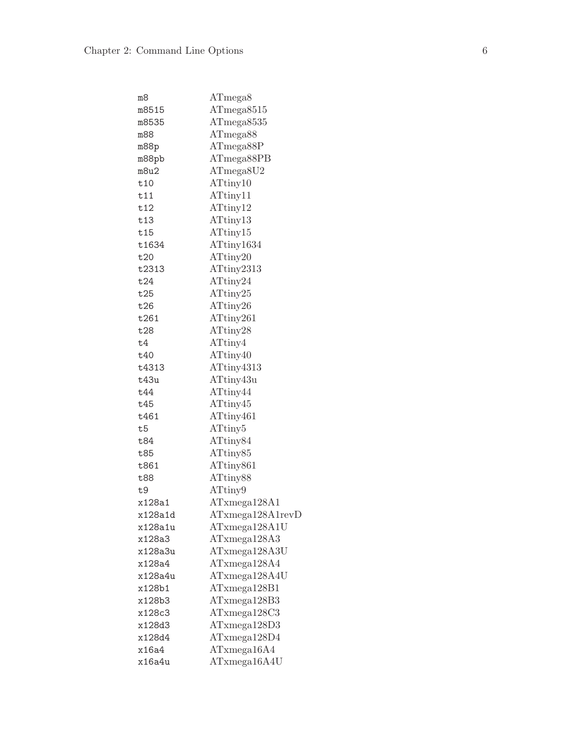| m8             | ATmega8              |
|----------------|----------------------|
| m8515          | ATmega8515           |
| m8535          | ATmega8535           |
| m88            | ATmega88             |
| m88p           | ATmega88P            |
| m88pb          | ATmega88PB           |
| m8u2           | ATmega8U2            |
| t10            | ATtiny10             |
| t11            | ATtiny11             |
| t12            | ATtiny12             |
| t13            | ATtiny13             |
| t15            | ATtiny15             |
| t1634          | ATtiny1634           |
| t20            | ATtiny20             |
| t2313          | ATtiny2313           |
| t24            | ATtiny24             |
| t25            | ATtiny25             |
| t26            | ATtiny26             |
| t261           | ATtiny261            |
| t28            | ATtiny28             |
| t4             | ATtiny4              |
| t40            | ATtiny40             |
| t4313          | ATtiny4313           |
| t43u           | ATtiny43u            |
| t44            | ATtiny44             |
| t45            | ATtiny45             |
| t461           | ATtiny461            |
| t <sub>5</sub> | ATtiny <sub>5</sub>  |
| t84            | ATtiny <sub>84</sub> |
| t85            | ATtiny <sub>85</sub> |
| t861           | ATtiny861            |
| t88            | ATtiny88             |
| t9             | ATtiny9              |
| x128a1         | ATxmega128A1         |
| x128a1d        | ATxmega128A1revD     |
| x128a1u        | ATxmega128A1U        |
| x128a3         | ATxmega128A3         |
| x128a3u        | ATxmega128A3U        |
| x128a4         | ATxmega128A4         |
| x128a4u        | ATxmega128A4U        |
| x128b1         | ATxmega128B1         |
| x128b3         | ATxmega128B3         |
| x128c3         | ATxmega128C3         |
| x128d3         | ATxmega128D3         |
| x128d4         | ATxmega128D4         |
| x16a4          | ATxmega16A4          |
| x16a4u         | ATxmega16A4U         |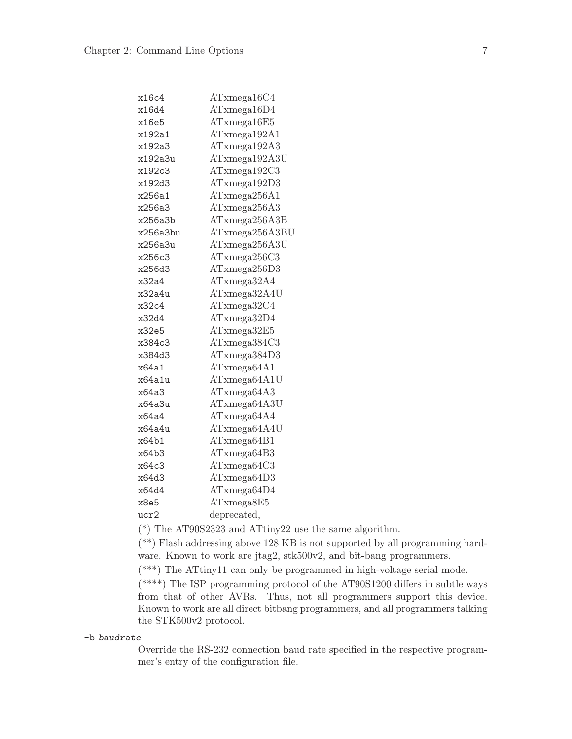| x16c4    | ATxmega16C4    |
|----------|----------------|
| x16d4    | ATxmega16D4    |
| x16e5    | ATxmega16E5    |
| x192a1   | ATxmega192A1   |
| x192a3   | ATxmega192A3   |
| x192a3u  | ATxmega192A3U  |
| x192c3   | ATxmega192C3   |
| x192d3   | ATxmega192D3   |
| x256a1   | ATxmega256A1   |
| x256a3   | ATxmega256A3   |
| x256a3b  | ATxmega256A3B  |
| x256a3bu | ATxmega256A3BU |
| x256a3u  | ATxmega256A3U  |
| x256c3   | ATxmega256C3   |
| x256d3   | ATxmega256D3   |
| x32a4    | ATxmega32A4    |
| x32a4u   | ATxmega32A4U   |
| x32c4    | ATxmega32C4    |
| x32d4    | ATxmega32D4    |
| x32e5    | ATxmega32E5    |
| x384c3   | ATxmega384C3   |
| x384d3   | ATxmega384D3   |
| x64a1    | ATxmega64A1    |
| x64a1u   | ATxmega64A1U   |
| x64a3    | ATxmega64A3    |
| x64a3u   | ATxmega64A3U   |
| x64a4    | ATxmega64A4    |
| x64a4u   | ATxmega64A4U   |
| x64b1    | ATxmega64B1    |
| x64b3    | ATxmega64B3    |
| x64c3    | ATxmega64C3    |
| x64d3    | ATxmega64D3    |
| x64d4    | ATxmega64D4    |
| x8e5     | ATxmega8E5     |
| ucr2     | deprecated,    |

(\*) The AT90S2323 and ATtiny22 use the same algorithm.

(\*\*) Flash addressing above 128 KB is not supported by all programming hardware. Known to work are jtag2, stk500v2, and bit-bang programmers.

(\*\*\*) The ATtiny11 can only be programmed in high-voltage serial mode.

(\*\*\*\*) The ISP programming protocol of the AT90S1200 differs in subtle ways from that of other AVRs. Thus, not all programmers support this device. Known to work are all direct bitbang programmers, and all programmers talking the STK500v2 protocol.

#### -b baudrate

Override the RS-232 connection baud rate specified in the respective programmer's entry of the configuration file.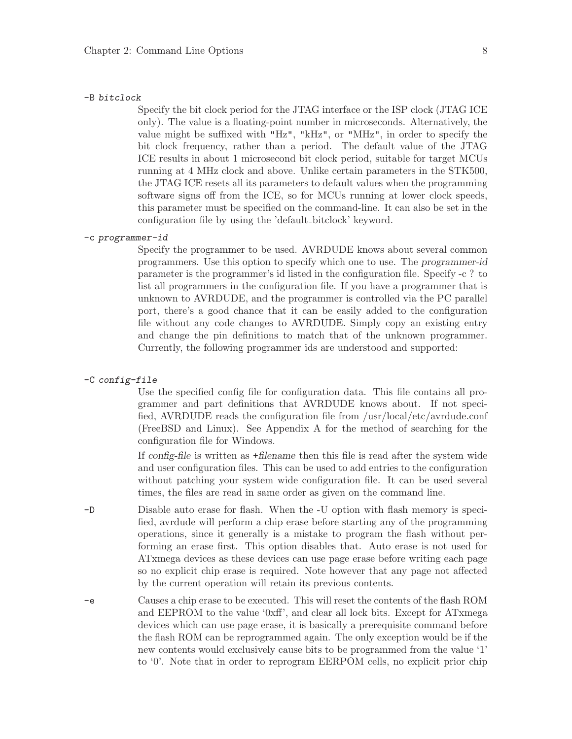#### -B bitclock

Specify the bit clock period for the JTAG interface or the ISP clock (JTAG ICE only). The value is a floating-point number in microseconds. Alternatively, the value might be suffixed with "Hz", "kHz", or "MHz", in order to specify the bit clock frequency, rather than a period. The default value of the JTAG ICE results in about 1 microsecond bit clock period, suitable for target MCUs running at 4 MHz clock and above. Unlike certain parameters in the STK500, the JTAG ICE resets all its parameters to default values when the programming software signs off from the ICE, so for MCUs running at lower clock speeds, this parameter must be specified on the command-line. It can also be set in the configuration file by using the 'default bitclock' keyword.

#### -c programmer-id

Specify the programmer to be used. AVRDUDE knows about several common programmers. Use this option to specify which one to use. The programmer-id parameter is the programmer's id listed in the configuration file. Specify -c ? to list all programmers in the configuration file. If you have a programmer that is unknown to AVRDUDE, and the programmer is controlled via the PC parallel port, there's a good chance that it can be easily added to the configuration file without any code changes to AVRDUDE. Simply copy an existing entry and change the pin definitions to match that of the unknown programmer. Currently, the following programmer ids are understood and supported:

#### -C config-file

Use the specified config file for configuration data. This file contains all programmer and part definitions that AVRDUDE knows about. If not specified, AVRDUDE reads the configuration file from /usr/local/etc/avrdude.conf (FreeBSD and Linux). See Appendix A for the method of searching for the configuration file for Windows.

If config-file is written as +filename then this file is read after the system wide and user configuration files. This can be used to add entries to the configuration without patching your system wide configuration file. It can be used several times, the files are read in same order as given on the command line.

- -D Disable auto erase for flash. When the -U option with flash memory is specified, avrdude will perform a chip erase before starting any of the programming operations, since it generally is a mistake to program the flash without performing an erase first. This option disables that. Auto erase is not used for ATxmega devices as these devices can use page erase before writing each page so no explicit chip erase is required. Note however that any page not affected by the current operation will retain its previous contents.
- -e Causes a chip erase to be executed. This will reset the contents of the flash ROM and EEPROM to the value '0xff', and clear all lock bits. Except for ATxmega devices which can use page erase, it is basically a prerequisite command before the flash ROM can be reprogrammed again. The only exception would be if the new contents would exclusively cause bits to be programmed from the value '1' to '0'. Note that in order to reprogram EERPOM cells, no explicit prior chip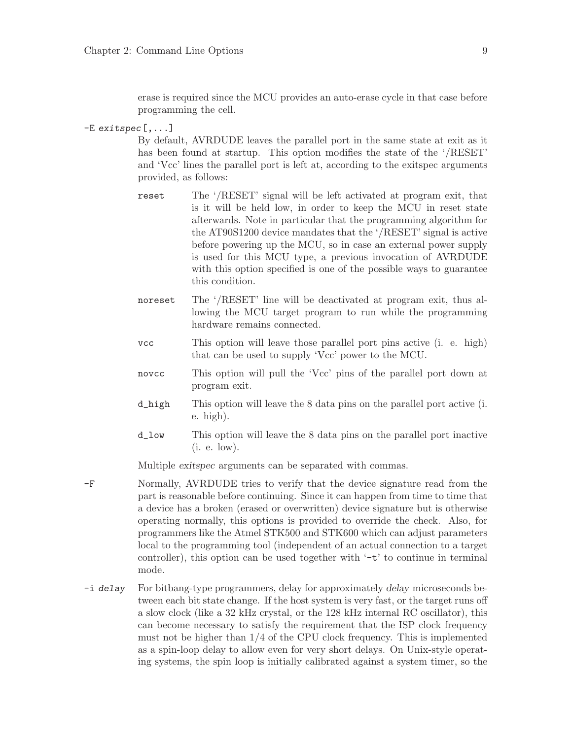erase is required since the MCU provides an auto-erase cycle in that case before programming the cell.

-E exitspec[,...]

By default, AVRDUDE leaves the parallel port in the same state at exit as it has been found at startup. This option modifies the state of the '/RESET' and 'Vcc' lines the parallel port is left at, according to the exitspec arguments provided, as follows:

- reset The '/RESET' signal will be left activated at program exit, that is it will be held low, in order to keep the MCU in reset state afterwards. Note in particular that the programming algorithm for the AT90S1200 device mandates that the '/RESET' signal is active before powering up the MCU, so in case an external power supply is used for this MCU type, a previous invocation of AVRDUDE with this option specified is one of the possible ways to guarantee this condition.
- noreset The '/RESET' line will be deactivated at program exit, thus allowing the MCU target program to run while the programming hardware remains connected.
- vcc This option will leave those parallel port pins active (i. e. high) that can be used to supply 'Vcc' power to the MCU.
- novcc This option will pull the 'Vcc' pins of the parallel port down at program exit.
- d\_high This option will leave the 8 data pins on the parallel port active (i. e. high).
- d\_low This option will leave the 8 data pins on the parallel port inactive (i. e. low).

Multiple exitspec arguments can be separated with commas.

- -F Normally, AVRDUDE tries to verify that the device signature read from the part is reasonable before continuing. Since it can happen from time to time that a device has a broken (erased or overwritten) device signature but is otherwise operating normally, this options is provided to override the check. Also, for programmers like the Atmel STK500 and STK600 which can adjust parameters local to the programming tool (independent of an actual connection to a target controller), this option can be used together with  $\div \div$  to continue in terminal mode.
- -i delay For bitbang-type programmers, delay for approximately delay microseconds between each bit state change. If the host system is very fast, or the target runs off a slow clock (like a 32 kHz crystal, or the 128 kHz internal RC oscillator), this can become necessary to satisfy the requirement that the ISP clock frequency must not be higher than  $1/4$  of the CPU clock frequency. This is implemented as a spin-loop delay to allow even for very short delays. On Unix-style operating systems, the spin loop is initially calibrated against a system timer, so the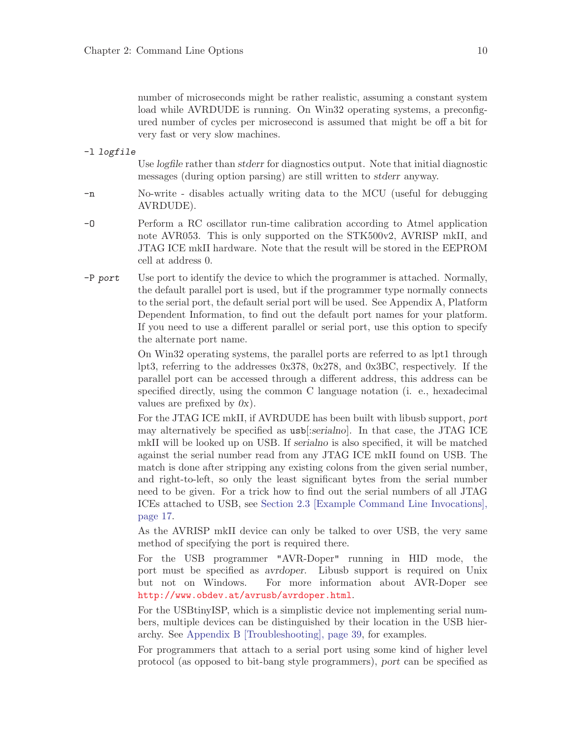number of microseconds might be rather realistic, assuming a constant system load while AVRDUDE is running. On Win32 operating systems, a preconfigured number of cycles per microsecond is assumed that might be off a bit for very fast or very slow machines.

-l logfile

Use logfile rather than stderr for diagnostics output. Note that initial diagnostic messages (during option parsing) are still written to stderr anyway.

- -n No-write disables actually writing data to the MCU (useful for debugging AVRDUDE).
- -O Perform a RC oscillator run-time calibration according to Atmel application note AVR053. This is only supported on the STK500v2, AVRISP mkII, and JTAG ICE mkII hardware. Note that the result will be stored in the EEPROM cell at address 0.
- $-P$  port Use port to identify the device to which the programmer is attached. Normally, the default parallel port is used, but if the programmer type normally connects to the serial port, the default serial port will be used. See Appendix A, Platform Dependent Information, to find out the default port names for your platform. If you need to use a different parallel or serial port, use this option to specify the alternate port name.

On Win32 operating systems, the parallel ports are referred to as lpt1 through lpt3, referring to the addresses 0x378, 0x278, and 0x3BC, respectively. If the parallel port can be accessed through a different address, this address can be specified directly, using the common C language notation (i. e., hexadecimal values are prefixed by  $0x$ ).

For the JTAG ICE mkII, if AVRDUDE has been built with libusb support, port may alternatively be specified as usb[:serialno]. In that case, the JTAG ICE mkII will be looked up on USB. If serialno is also specified, it will be matched against the serial number read from any JTAG ICE mkII found on USB. The match is done after stripping any existing colons from the given serial number, and right-to-left, so only the least significant bytes from the serial number need to be given. For a trick how to find out the serial numbers of all JTAG ICEs attached to USB, see [Section 2.3 \[Example Command Line Invocations\],](#page-20-0) [page 17.](#page-20-0)

As the AVRISP mkII device can only be talked to over USB, the very same method of specifying the port is required there.

For the USB programmer "AVR-Doper" running in HID mode, the port must be specified as avrdoper. Libusb support is required on Unix but not on Windows. For more information about AVR-Doper see <http://www.obdev.at/avrusb/avrdoper.html>.

For the USBtinyISP, which is a simplistic device not implementing serial numbers, multiple devices can be distinguished by their location in the USB hierarchy. See [Appendix B \[Troubleshooting\], page 39](#page-42-0), for examples.

For programmers that attach to a serial port using some kind of higher level protocol (as opposed to bit-bang style programmers), port can be specified as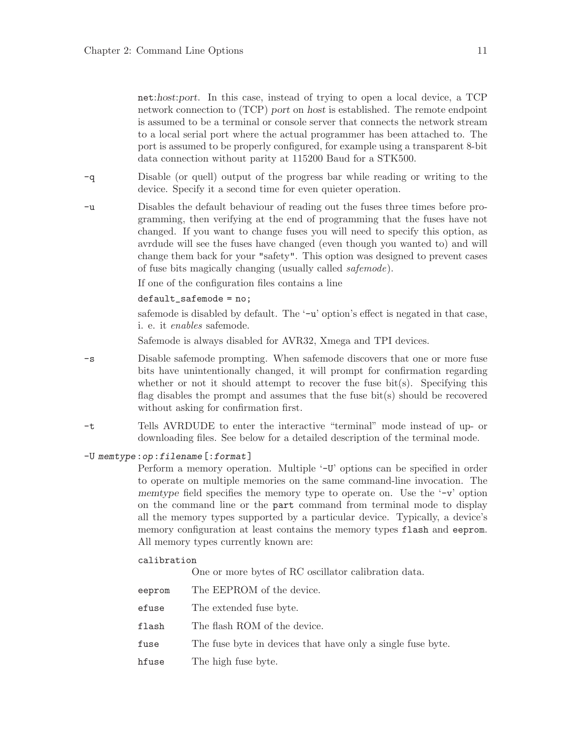net:host:port. In this case, instead of trying to open a local device, a TCP network connection to (TCP) port on host is established. The remote endpoint is assumed to be a terminal or console server that connects the network stream to a local serial port where the actual programmer has been attached to. The port is assumed to be properly configured, for example using a transparent 8-bit data connection without parity at 115200 Baud for a STK500.

- -q Disable (or quell) output of the progress bar while reading or writing to the device. Specify it a second time for even quieter operation.
- -u Disables the default behaviour of reading out the fuses three times before programming, then verifying at the end of programming that the fuses have not changed. If you want to change fuses you will need to specify this option, as avrdude will see the fuses have changed (even though you wanted to) and will change them back for your "safety". This option was designed to prevent cases of fuse bits magically changing (usually called safemode).

If one of the configuration files contains a line

default\_safemode = no;

safemode is disabled by default. The '-u' option's effect is negated in that case, i. e. it enables safemode.

Safemode is always disabled for AVR32, Xmega and TPI devices.

- -s Disable safemode prompting. When safemode discovers that one or more fuse bits have unintentionally changed, it will prompt for confirmation regarding whether or not it should attempt to recover the fuse bit(s). Specifying this flag disables the prompt and assumes that the fuse bit(s) should be recovered without asking for confirmation first.
- -t Tells AVRDUDE to enter the interactive "terminal" mode instead of up- or downloading files. See below for a detailed description of the terminal mode.

#### -U memtype:op:filename[:format]

Perform a memory operation. Multiple '-U' options can be specified in order to operate on multiple memories on the same command-line invocation. The memtype field specifies the memory type to operate on. Use the  $\rightarrow$  v' option on the command line or the part command from terminal mode to display all the memory types supported by a particular device. Typically, a device's memory configuration at least contains the memory types flash and eeprom. All memory types currently known are:

#### calibration

One or more bytes of RC oscillator calibration data.

eeprom The EEPROM of the device. efuse The extended fuse byte. flash The flash ROM of the device. fuse The fuse byte in devices that have only a single fuse byte. hfuse The high fuse byte.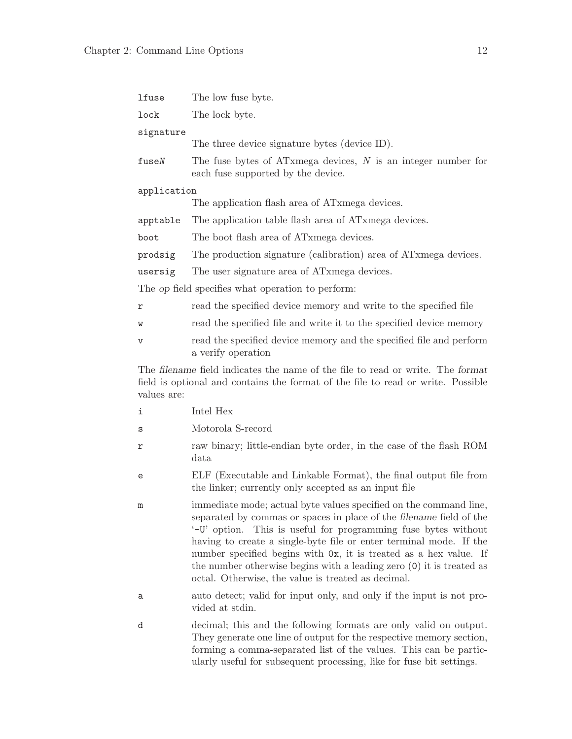| lfuse                                                                                                                                                                             | The low fuse byte.                                                                                                                                                                                                                                                                                                                                                                                                                                                                       |  |  |
|-----------------------------------------------------------------------------------------------------------------------------------------------------------------------------------|------------------------------------------------------------------------------------------------------------------------------------------------------------------------------------------------------------------------------------------------------------------------------------------------------------------------------------------------------------------------------------------------------------------------------------------------------------------------------------------|--|--|
| lock<br>The lock byte.                                                                                                                                                            |                                                                                                                                                                                                                                                                                                                                                                                                                                                                                          |  |  |
| signature                                                                                                                                                                         |                                                                                                                                                                                                                                                                                                                                                                                                                                                                                          |  |  |
|                                                                                                                                                                                   | The three device signature bytes (device ID).                                                                                                                                                                                                                                                                                                                                                                                                                                            |  |  |
| fuseN                                                                                                                                                                             | The fuse bytes of ATxmega devices, $N$ is an integer number for<br>each fuse supported by the device.                                                                                                                                                                                                                                                                                                                                                                                    |  |  |
| application                                                                                                                                                                       |                                                                                                                                                                                                                                                                                                                                                                                                                                                                                          |  |  |
|                                                                                                                                                                                   | The application flash area of ATxmega devices.                                                                                                                                                                                                                                                                                                                                                                                                                                           |  |  |
| apptable                                                                                                                                                                          | The application table flash area of ATxmega devices.                                                                                                                                                                                                                                                                                                                                                                                                                                     |  |  |
| boot                                                                                                                                                                              | The boot flash area of ATxmega devices.                                                                                                                                                                                                                                                                                                                                                                                                                                                  |  |  |
| prodsig                                                                                                                                                                           | The production signature (calibration) area of AT xmega devices.                                                                                                                                                                                                                                                                                                                                                                                                                         |  |  |
| usersig                                                                                                                                                                           | The user signature area of ATxmega devices.                                                                                                                                                                                                                                                                                                                                                                                                                                              |  |  |
|                                                                                                                                                                                   | The op field specifies what operation to perform:                                                                                                                                                                                                                                                                                                                                                                                                                                        |  |  |
| r                                                                                                                                                                                 | read the specified device memory and write to the specified file                                                                                                                                                                                                                                                                                                                                                                                                                         |  |  |
| W                                                                                                                                                                                 | read the specified file and write it to the specified device memory                                                                                                                                                                                                                                                                                                                                                                                                                      |  |  |
| V                                                                                                                                                                                 | read the specified device memory and the specified file and perform<br>a verify operation                                                                                                                                                                                                                                                                                                                                                                                                |  |  |
| The filename field indicates the name of the file to read or write. The format<br>field is optional and contains the format of the file to read or write. Possible<br>values are: |                                                                                                                                                                                                                                                                                                                                                                                                                                                                                          |  |  |
| i                                                                                                                                                                                 | Intel Hex                                                                                                                                                                                                                                                                                                                                                                                                                                                                                |  |  |
| s                                                                                                                                                                                 | Motorola S-record                                                                                                                                                                                                                                                                                                                                                                                                                                                                        |  |  |
| r                                                                                                                                                                                 | raw binary; little-endian byte order, in the case of the flash ROM<br>data                                                                                                                                                                                                                                                                                                                                                                                                               |  |  |
| e                                                                                                                                                                                 | ELF (Executable and Linkable Format), the final output file from<br>the linker; currently only accepted as an input file                                                                                                                                                                                                                                                                                                                                                                 |  |  |
| m                                                                                                                                                                                 | immediate mode; actual byte values specified on the command line,<br>separated by commas or spaces in place of the filename field of the<br>'-U' option. This is useful for programming fuse bytes without<br>having to create a single-byte file or enter terminal mode. If the<br>number specified begins with $0x$ , it is treated as a hex value. If<br>the number otherwise begins with a leading zero $(0)$ it is treated as<br>octal. Otherwise, the value is treated as decimal. |  |  |
| а                                                                                                                                                                                 | auto detect; valid for input only, and only if the input is not pro-<br>vided at stdin.                                                                                                                                                                                                                                                                                                                                                                                                  |  |  |
| d                                                                                                                                                                                 | decimal; this and the following formats are only valid on output.<br>They generate one line of output for the respective memory section,<br>forming a comma-separated list of the values. This can be partic-                                                                                                                                                                                                                                                                            |  |  |

ularly useful for subsequent processing, like for fuse bit settings.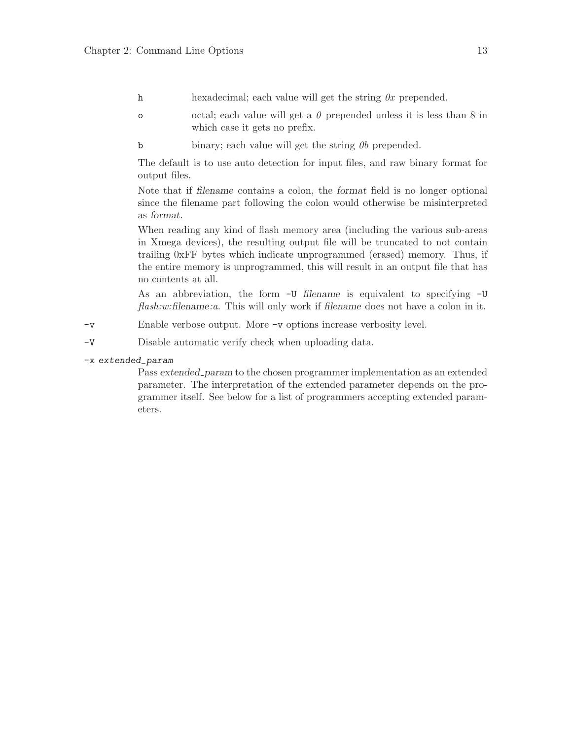- h hexadecimal; each value will get the string  $0x$  prepended.
- o cotal; each value will get a  $\theta$  prepended unless it is less than 8 in which case it gets no prefix.
- b binary; each value will get the string  $\theta b$  prepended.

The default is to use auto detection for input files, and raw binary format for output files.

Note that if filename contains a colon, the format field is no longer optional since the filename part following the colon would otherwise be misinterpreted as format.

When reading any kind of flash memory area (including the various sub-areas in Xmega devices), the resulting output file will be truncated to not contain trailing 0xFF bytes which indicate unprogrammed (erased) memory. Thus, if the entire memory is unprogrammed, this will result in an output file that has no contents at all.

As an abbreviation, the form -U filename is equivalent to specifying -U flash:w:filename:a. This will only work if filename does not have a colon in it.

- -v Enable verbose output. More -v options increase verbosity level.
- -V Disable automatic verify check when uploading data.

### -x extended\_param

Pass extended param to the chosen programmer implementation as an extended parameter. The interpretation of the extended parameter depends on the programmer itself. See below for a list of programmers accepting extended parameters.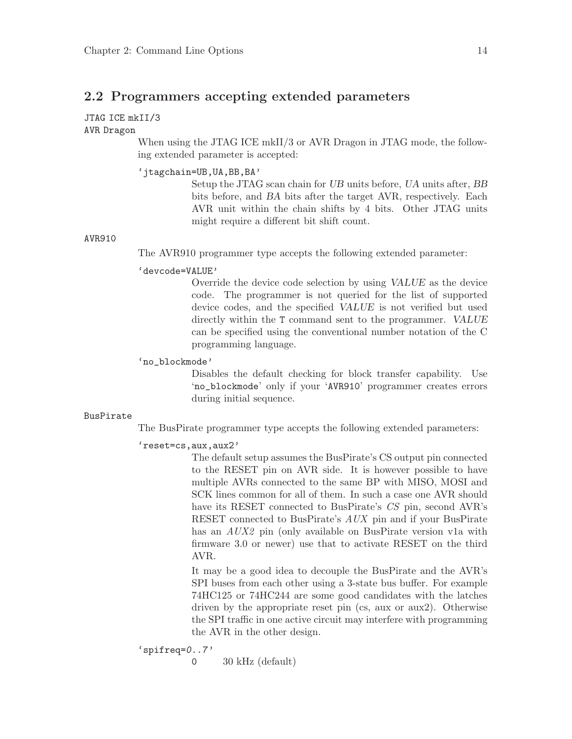## <span id="page-17-0"></span>2.2 Programmers accepting extended parameters

### JTAG ICE mkII/3

### AVR Dragon

When using the JTAG ICE mkII/3 or AVR Dragon in JTAG mode, the following extended parameter is accepted:

#### 'jtagchain=UB,UA,BB,BA'

Setup the JTAG scan chain for UB units before, UA units after, BB bits before, and BA bits after the target AVR, respectively. Each AVR unit within the chain shifts by 4 bits. Other JTAG units might require a different bit shift count.

#### AVR910

The AVR910 programmer type accepts the following extended parameter:

#### 'devcode=VALUE'

Override the device code selection by using VALUE as the device code. The programmer is not queried for the list of supported device codes, and the specified VALUE is not verified but used directly within the T command sent to the programmer. VALUE can be specified using the conventional number notation of the C programming language.

#### 'no\_blockmode'

Disables the default checking for block transfer capability. Use 'no\_blockmode' only if your 'AVR910' programmer creates errors during initial sequence.

#### BusPirate

The BusPirate programmer type accepts the following extended parameters:

#### 'reset=cs,aux,aux2'

The default setup assumes the BusPirate's CS output pin connected to the RESET pin on AVR side. It is however possible to have multiple AVRs connected to the same BP with MISO, MOSI and SCK lines common for all of them. In such a case one AVR should have its RESET connected to BusPirate's CS pin, second AVR's RESET connected to BusPirate's AUX pin and if your BusPirate has an *AUX2* pin (only available on BusPirate version v1a with firmware 3.0 or newer) use that to activate RESET on the third AVR.

It may be a good idea to decouple the BusPirate and the AVR's SPI buses from each other using a 3-state bus buffer. For example 74HC125 or 74HC244 are some good candidates with the latches driven by the appropriate reset pin (cs, aux or aux2). Otherwise the SPI traffic in one active circuit may interfere with programming the AVR in the other design.

$$
's \texttt{pifreq=0..7'}
$$

0 30 kHz (default)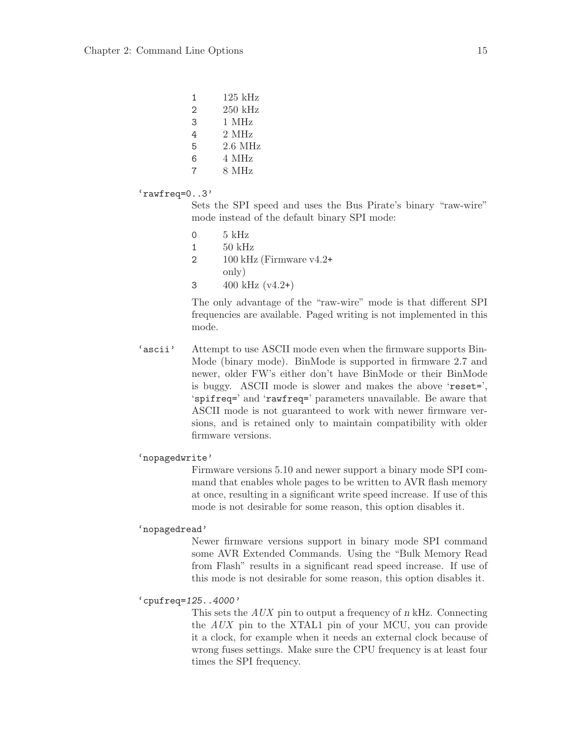| 1 | $125 \text{ kHz}$ |
|---|-------------------|
| 2 | 250 kHz           |
| 3 | 1 MHz             |
| 4 | 2 MHz             |
| 5 | 2.6 MHz           |
| 6 | 4 MHz             |
| 7 | 8 MHz             |
|   |                   |

#### 'rawfreq=0..3'

Sets the SPI speed and uses the Bus Pirate's binary "raw-wire" mode instead of the default binary SPI mode:

- $0$  5 kHz 1 50 kHz
- 2  $100 \text{ kHz}$  (Firmware v4.2+ only)
- 3  $400 \text{ kHz} (v4.2+)$

The only advantage of the "raw-wire" mode is that different SPI frequencies are available. Paged writing is not implemented in this mode.

'ascii' Attempt to use ASCII mode even when the firmware supports Bin-Mode (binary mode). BinMode is supported in firmware 2.7 and newer, older FW's either don't have BinMode or their BinMode is buggy. ASCII mode is slower and makes the above 'reset=', 'spifreq=' and 'rawfreq=' parameters unavailable. Be aware that ASCII mode is not guaranteed to work with newer firmware versions, and is retained only to maintain compatibility with older firmware versions.

#### 'nopagedwrite'

Firmware versions 5.10 and newer support a binary mode SPI command that enables whole pages to be written to AVR flash memory at once, resulting in a significant write speed increase. If use of this mode is not desirable for some reason, this option disables it.

#### 'nopagedread'

Newer firmware versions support in binary mode SPI command some AVR Extended Commands. Using the "Bulk Memory Read from Flash" results in a significant read speed increase. If use of this mode is not desirable for some reason, this option disables it.

## 'cpufreq=125..4000'

This sets the AUX pin to output a frequency of n kHz. Connecting the AUX pin to the XTAL1 pin of your MCU, you can provide it a clock, for example when it needs an external clock because of wrong fuses settings. Make sure the CPU frequency is at least four times the SPI frequency.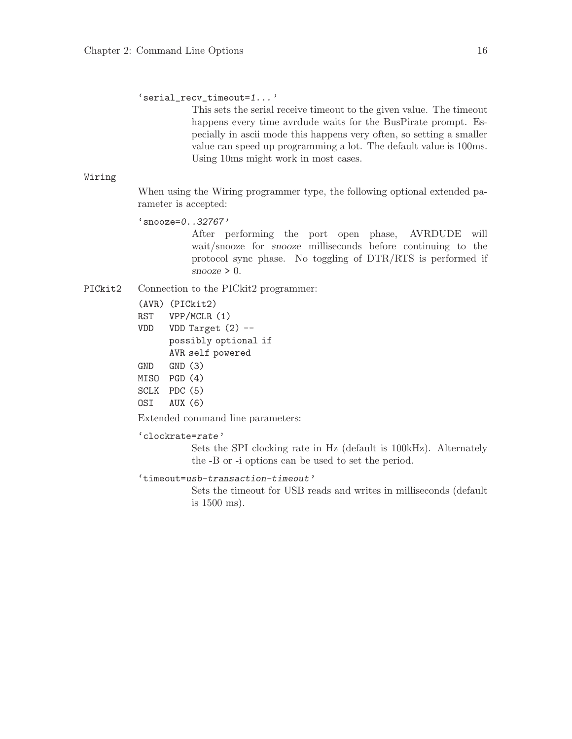'serial\_recv\_timeout=1...'

This sets the serial receive timeout to the given value. The timeout happens every time avrdude waits for the BusPirate prompt. Especially in ascii mode this happens very often, so setting a smaller value can speed up programming a lot. The default value is 100ms. Using 10ms might work in most cases.

#### Wiring

When using the Wiring programmer type, the following optional extended parameter is accepted:

'snooze=0..32767'

After performing the port open phase, AVRDUDE will wait/snooze for snooze milliseconds before continuing to the protocol sync phase. No toggling of DTR/RTS is performed if  $\text{snooze} > 0$ .

PICkit2 Connection to the PICkit2 programmer:

- (AVR) (PICkit2)
- RST VPP/MCLR (1)
- VDD VDD Target (2) possibly optional if AVR self powered
- GND GND (3)
- MISO PGD (4)
- SCLK PDC (5)
- OSI AUX (6)

Extended command line parameters:

'clockrate=rate'

Sets the SPI clocking rate in Hz (default is 100kHz). Alternately the -B or -i options can be used to set the period.

'timeout=usb-transaction-timeout'

Sets the timeout for USB reads and writes in milliseconds (default is 1500 ms).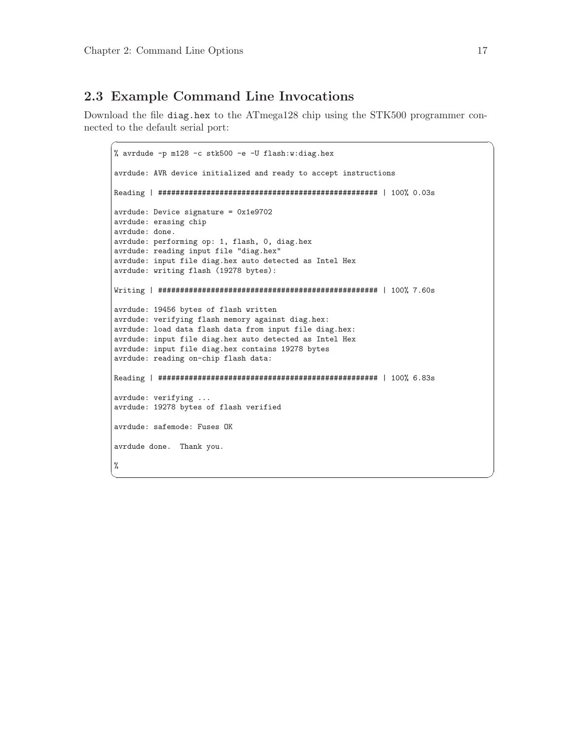# <span id="page-20-0"></span>2.3 Example Command Line Invocations

Download the file diag.hex to the ATmega128 chip using the STK500 programmer connected to the default serial port:

 $\sqrt{2\pi}$ 

```
% avrdude -p m128 -c stk500 -e -U flash:w:diag.hex
avrdude: AVR device initialized and ready to accept instructions
Reading | ################################################## | 100% 0.03s
avrdude: Device signature = 0x1e9702
avrdude: erasing chip
avrdude: done.
avrdude: performing op: 1, flash, 0, diag.hex
avrdude: reading input file "diag.hex"
avrdude: input file diag.hex auto detected as Intel Hex
avrdude: writing flash (19278 bytes):
Writing | ################################################## | 100% 7.60s
avrdude: 19456 bytes of flash written
avrdude: verifying flash memory against diag.hex:
avrdude: load data flash data from input file diag.hex:
avrdude: input file diag.hex auto detected as Intel Hex
avrdude: input file diag.hex contains 19278 bytes
avrdude: reading on-chip flash data:
Reading | ################################################## | 100% 6.83s
avrdude: verifying ...
avrdude: 19278 bytes of flash verified
avrdude: safemode: Fuses OK
avrdude done. Thank you.
%
```
✡ ✠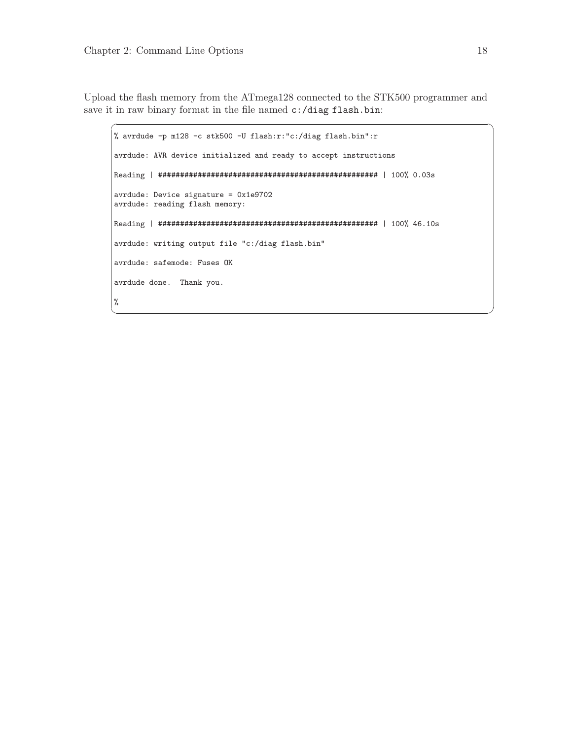Upload the flash memory from the ATmega128 connected to the STK500 programmer and save it in raw binary format in the file named  $c$ :/diag flash.bin:

 $\sqrt{2\pi}$ 

```
% avrdude -p m128 -c stk500 -U flash:r:"c:/diag flash.bin":r
avrdude: AVR device initialized and ready to accept instructions
Reading | ################################################## | 100% 0.03s
avrdude: Device signature = 0x1e9702
avrdude: reading flash memory:
Reading | ################################################## | 100% 46.10s
avrdude: writing output file "c:/diag flash.bin"
avrdude: safemode: Fuses OK
avrdude done. Thank you.
%
✡ ✠
```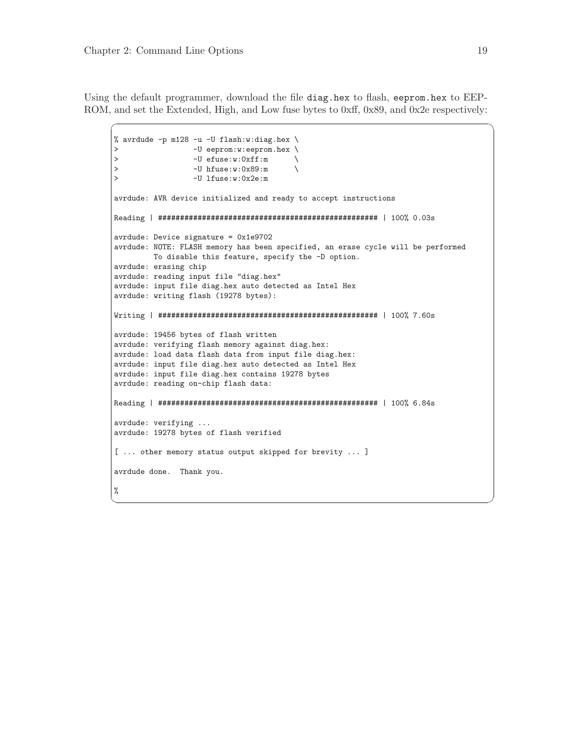Using the default programmer, download the file diag.hex to flash, eeprom.hex to EEP-ROM, and set the Extended, High, and Low fuse bytes to 0xff, 0x89, and 0x2e respectively:

 $\sqrt{2\pi}$ 

```
% avrdude -p m128 -u -U flash:w:diag.hex \
> -U eeprom:w:eeprom.hex \<br>> -U efuse:w:0xff:m \
> -U efuse:w:0xff:m \rightarrow -U efuse:w:0x89:m \rightarrow> -U hfuse:w:0x89:m<br>> -U lfuse:w:0x2e:m
                  > -U lfuse:w:0x2e:m
avrdude: AVR device initialized and ready to accept instructions
Reading | ################################################## | 100% 0.03s
avrdude: Device signature = 0x1e9702
avrdude: NOTE: FLASH memory has been specified, an erase cycle will be performed
         To disable this feature, specify the -D option.
avrdude: erasing chip
avrdude: reading input file "diag.hex"
avrdude: input file diag.hex auto detected as Intel Hex
avrdude: writing flash (19278 bytes):
Writing | ################################################## | 100% 7.60s
avrdude: 19456 bytes of flash written
avrdude: verifying flash memory against diag.hex:
avrdude: load data flash data from input file diag.hex:
avrdude: input file diag.hex auto detected as Intel Hex
avrdude: input file diag.hex contains 19278 bytes
avrdude: reading on-chip flash data:
Reading | ################################################## | 100% 6.84s
avrdude: verifying ...
avrdude: 19278 bytes of flash verified
[ ... other memory status output skipped for brevity ... ]
avrdude done. Thank you.
%
```
✡ ✠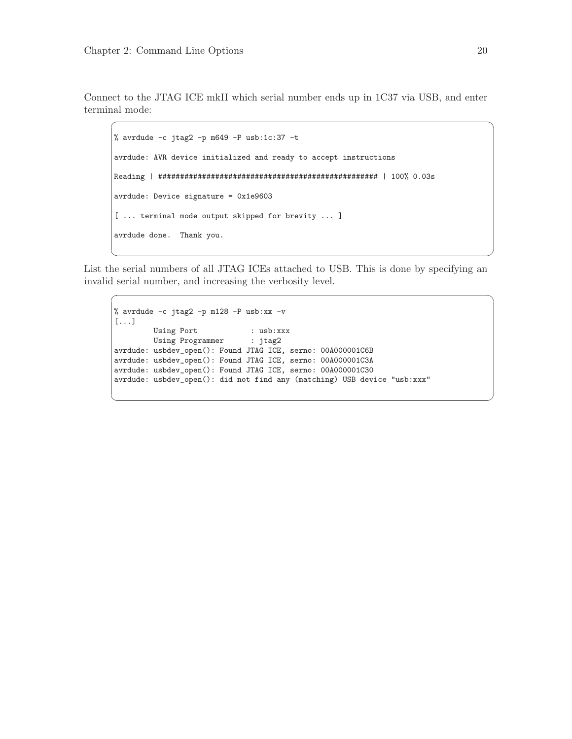Connect to the JTAG ICE mkII which serial number ends up in 1C37 via USB, and enter terminal mode:

 $\sqrt{2\pi}$ 

```
% avrdude -c jtag2 -p m649 -P usb:1c:37 -t
avrdude: AVR device initialized and ready to accept instructions
Reading | ################################################## | 100% 0.03s
avrdude: Device signature = 0x1e9603
[ ... terminal mode output skipped for brevity ... ]
avrdude done. Thank you.
```
List the serial numbers of all JTAG ICEs attached to USB. This is done by specifying an invalid serial number, and increasing the verbosity level.

✡ ✠

 $\sqrt{2\pi}$ 

✡ ✠

```
% avrdude -c jtag2 -p m128 -P usb:xx -v
[...]
        Using Port : usb:xxx
        Using Programmer : jtag2
avrdude: usbdev_open(): Found JTAG ICE, serno: 00A000001C6B
avrdude: usbdev_open(): Found JTAG ICE, serno: 00A000001C3A
avrdude: usbdev_open(): Found JTAG ICE, serno: 00A000001C30
avrdude: usbdev_open(): did not find any (matching) USB device "usb:xxx"
```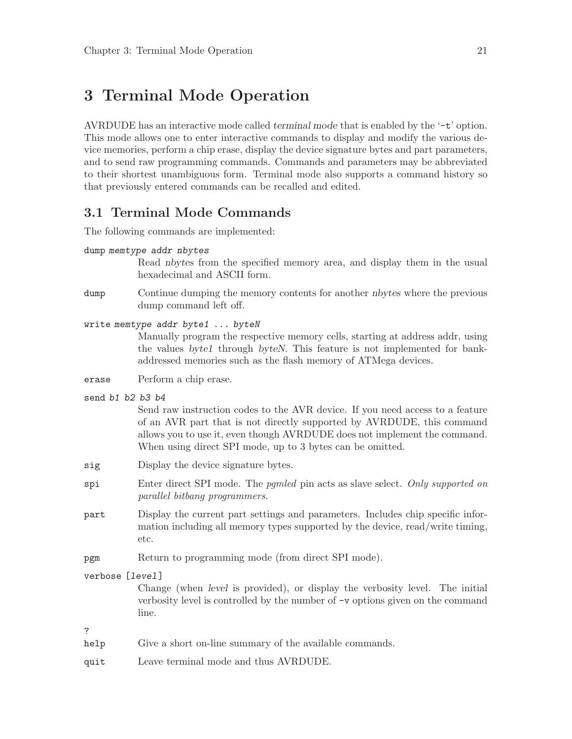# <span id="page-24-0"></span>3 Terminal Mode Operation

AVRDUDE has an interactive mode called terminal mode that is enabled by the '-t' option. This mode allows one to enter interactive commands to display and modify the various device memories, perform a chip erase, display the device signature bytes and part parameters, and to send raw programming commands. Commands and parameters may be abbreviated to their shortest unambiguous form. Terminal mode also supports a command history so that previously entered commands can be recalled and edited.

## 3.1 Terminal Mode Commands

The following commands are implemented:

dump memtype addr nbytes

Read nbytes from the specified memory area, and display them in the usual hexadecimal and ASCII form.

- dump Continue dumping the memory contents for another *nbytes* where the previous dump command left off.
- write memtype addr byte1 ... byteN

Manually program the respective memory cells, starting at address addr, using the values byte1 through byteN. This feature is not implemented for bankaddressed memories such as the flash memory of ATMega devices.

- erase Perform a chip erase.
- send b1 b2 b3 b4

Send raw instruction codes to the AVR device. If you need access to a feature of an AVR part that is not directly supported by AVRDUDE, this command allows you to use it, even though AVRDUDE does not implement the command. When using direct SPI mode, up to 3 bytes can be omitted.

- sig Display the device signature bytes.
- spi Enter direct SPI mode. The *pgmled* pin acts as slave select. Only supported on parallel bitbang programmers.
- part Display the current part settings and parameters. Includes chip specific information including all memory types supported by the device, read/write timing, etc.
- pgm Return to programming mode (from direct SPI mode).

#### verbose [level]

Change (when level is provided), or display the verbosity level. The initial verbosity level is controlled by the number of -v options given on the command line.

?

- help Give a short on-line summary of the available commands.
- quit Leave terminal mode and thus AVRDUDE.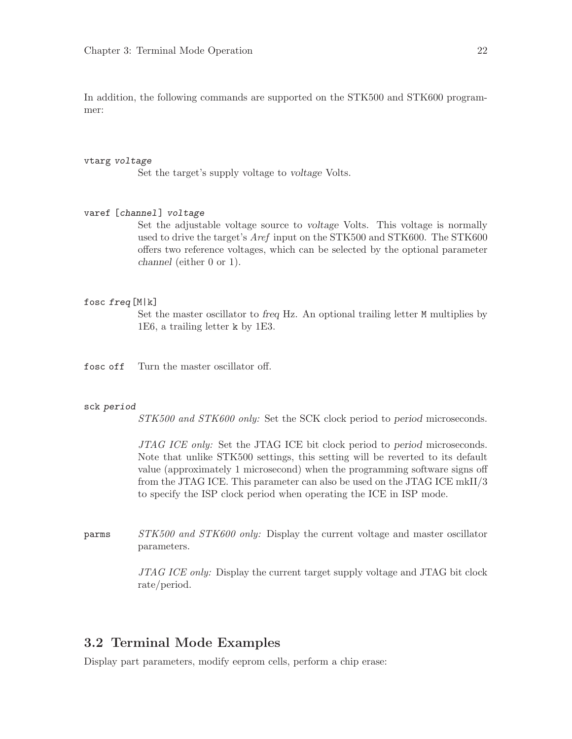<span id="page-25-0"></span>In addition, the following commands are supported on the STK500 and STK600 programmer:

#### vtarg voltage

Set the target's supply voltage to voltage Volts.

#### varef [channel] voltage

Set the adjustable voltage source to voltage Volts. This voltage is normally used to drive the target's Aref input on the STK500 and STK600. The STK600 offers two reference voltages, which can be selected by the optional parameter channel (either 0 or 1).

#### fosc freq[M|k]

Set the master oscillator to freq Hz. An optional trailing letter M multiplies by 1E6, a trailing letter k by 1E3.

fosc off Turn the master oscillator off.

#### sck period

STK500 and STK600 only: Set the SCK clock period to period microseconds.

JTAG ICE only: Set the JTAG ICE bit clock period to period microseconds. Note that unlike STK500 settings, this setting will be reverted to its default value (approximately 1 microsecond) when the programming software signs off from the JTAG ICE. This parameter can also be used on the JTAG ICE mkII/3 to specify the ISP clock period when operating the ICE in ISP mode.

parms STK500 and STK600 only: Display the current voltage and master oscillator parameters.

> JTAG ICE only: Display the current target supply voltage and JTAG bit clock rate/period.

## 3.2 Terminal Mode Examples

Display part parameters, modify eeprom cells, perform a chip erase: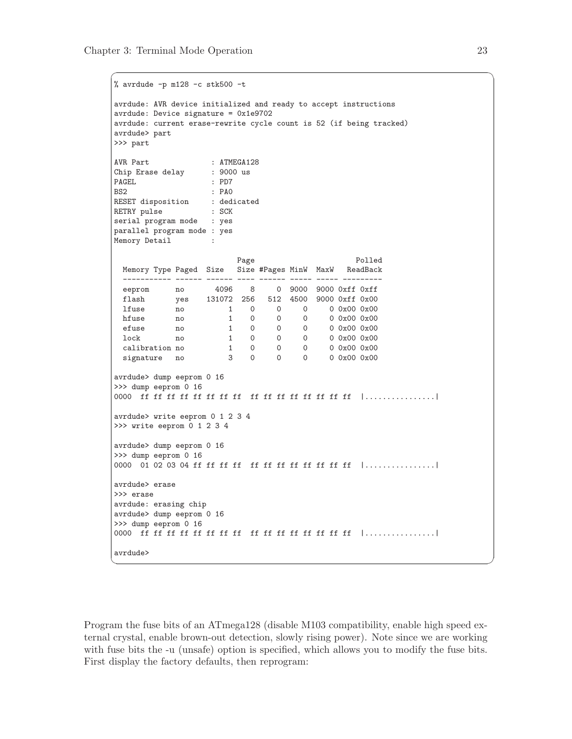```
% avrdude -p m128 -c stk500 -t
avrdude: AVR device initialized and ready to accept instructions
avrdude: Device signature = 0x1e9702
avrdude: current erase-rewrite cycle count is 52 (if being tracked)
avrdude> part
>>> part
AVR Part : ATMEGA128
Chip Erase delay : 9000 us
PAGEL : PD7
BS2 : PAO
RESET disposition : dedicated
RETRY pulse : SCK
serial program mode : yes
parallel program mode : yes
Memory Detail :
                        Page Polled
 Memory Type Paged Size Size #Pages MinW MaxW ReadBack
 ----------- ------ ------ ---- ------ ----- ----- ---------
  eeprom no 4096 8 0 9000 9000 0xff 0xff
  flash yes 131072 256 512 4500 9000 0xff 0x00
  lfuse no 1 0 0 0 0 0x00 0x00
  hfuse no 1 0 0 0 0 0x00 0x00
 \begin{tabular}{lcccccc} efuse & no & 1 & 0 & 0 & 0 & 0 & 0x00 & 0x00 \\ 10ck & no & 1 & 0 & 0 & 0 & 0 & 0x00 & 0x00 \end{tabular}lock no 1 0 0 0 0 0x00 0x00
  calibration no 1 0 0 0 0 0x00 0x00
  signature no 3 0 0 0 0 0x00 0x00
avrdude> dump eeprom 0 16
>>> dump eeprom 0 16
0000 ff ff ff ff ff ff ff ff ff ff ff ff ff ff ff ff |................|
avrdude> write eeprom 0 1 2 3 4
>>> write eeprom 0 1 2 3 4
avrdude> dump eeprom 0 16
>>> dump eeprom 0 16
0000 01 02 03 04 ff ff ff ff ff ff ff ff ff ff ff ff |................|
avrdude> erase
>>> erase
avrdude: erasing chip
avrdude> dump eeprom 0 16
>>> dump eeprom 0 16
0000 ff ff ff ff ff ff ff ff ff ff ff ff ff ff ff ff |................|
avrdude>
```
 $\sqrt{2\pi}$ 

Program the fuse bits of an ATmega128 (disable M103 compatibility, enable high speed external crystal, enable brown-out detection, slowly rising power). Note since we are working with fuse bits the -u (unsafe) option is specified, which allows you to modify the fuse bits. First display the factory defaults, then reprogram:

✡ ✠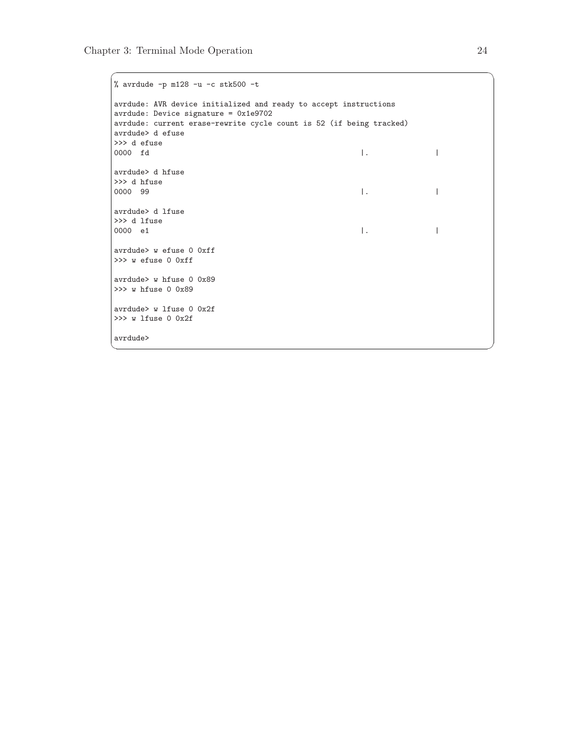```
% avrdude -p m128 -u -c stk500 -tavrdude: AVR device initialized and ready to accept instructions
avrdude: Device signature = 0x1e9702
avrdude: current erase-rewrite cycle count is 52 (if being tracked)
avrdude> d efuse
>>> d efuse
0000 fd |. |
avrdude> d hfuse
>>> d hfuse
0000 99 |. |
avrdude> d lfuse
>>> d lfuse
0000 e1 |. |
avrdude> w efuse 0 0xff
>>> w efuse 0 0xff
avrdude> w hfuse 0 0x89
>>> w hfuse 0 0x89
avrdude> w lfuse 0 0x2f
>>> w lfuse 0 0x2f
avrdude>
```
✡ ✠

 $\sqrt{2\pi}$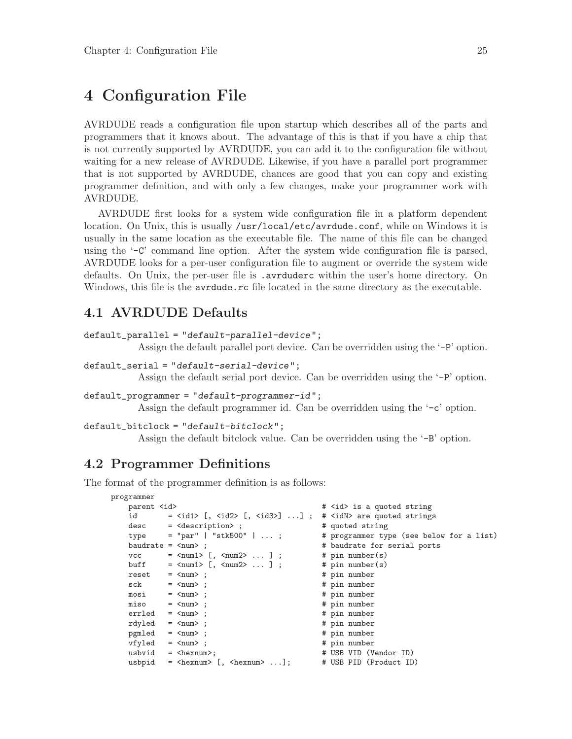# <span id="page-28-0"></span>4 Configuration File

AVRDUDE reads a configuration file upon startup which describes all of the parts and programmers that it knows about. The advantage of this is that if you have a chip that is not currently supported by AVRDUDE, you can add it to the configuration file without waiting for a new release of AVRDUDE. Likewise, if you have a parallel port programmer that is not supported by AVRDUDE, chances are good that you can copy and existing programmer definition, and with only a few changes, make your programmer work with AVRDUDE.

AVRDUDE first looks for a system wide configuration file in a platform dependent location. On Unix, this is usually /usr/local/etc/avrdude.conf, while on Windows it is usually in the same location as the executable file. The name of this file can be changed using the '-C' command line option. After the system wide configuration file is parsed, AVRDUDE looks for a per-user configuration file to augment or override the system wide defaults. On Unix, the per-user file is .avrduderc within the user's home directory. On Windows, this file is the avrdude.rc file located in the same directory as the executable.

## 4.1 AVRDUDE Defaults

```
default_parallel = "default-parallel-device";
```
Assign the default parallel port device. Can be overridden using the '-P' option.

```
default_serial = "default-serial-device";
```
Assign the default serial port device. Can be overridden using the '-P' option.

```
default_programmer = "default-programmer-id";
```
Assign the default programmer id. Can be overridden using the '-c' option.

```
default_bitclock = "default-bitclock";
```
Assign the default bitclock value. Can be overridden using the '-B' option.

## 4.2 Programmer Definitions

The format of the programmer definition is as follows:

```
programmer
```

```
parent <id> * <id> * <id> * <id> * <id> * <id> * <id> * <id> * <id> * <id> * <id> * <id> * <id> * <id> * <id> * + * <id * + * + * + * + * + * + * + * + * + * + * + * 
id = \langle i \text{d}1 \rangle [, \langle i \text{d}2 \rangle [, \langle i \text{d}3 \rangle] ...]; # \langle i \text{d}N \rangle are quoted strings
desc = \triangleleft escription>; # quoted string<br>type = "par" | "stk500" | ...; # programmer typ
type = "par" | "stk500" | ...; # programmer type (see below for a list)<br>baudrate = \langle \text{num} \rangle; # baudrate for serial ports
                                                                # baudrate for serial ports
vcc = \timesnum1> [, \timesnum2> ...]; # pin number(s)<br>buff = \timesnum1> [, \timesnum2> ...]; # pin number(s)
buff = \langle \text{num1} \rangle [, \langle \text{num2} \rangle ... ];
reset = \tanh ; <br> sck = \tanh ; <br> \theta = \tanh ; <br> \theta = \tanh ; <br> \theta = \tanh ; <br> \theta = \tanh ; <br> \theta = \tanh ; <br> \theta = \tanh ; <br> \theta = \tanh ; <br> \theta = \tanh ; <br> \theta = \tanh ; <br> \theta = \tanh ; <br> \theta = \tanh ; <br> \theta = \tanh ;
sck = \langle num \rangle;<br>mosi = \langle num \rangle;<br># pin number
mosi = \langle num \rangle; # pin number
miso = <num> ; # pin number
erried = \langle num \rangle; \qquad # pin numberrdyled = <num> ; # pin number
pgmled = \langle num \rangle; # pin number
vfyled = \langle num \rangle; # pin number
usbvid = \langlehexnum>; \qquad \qquad # USB VID (Vendor ID)
usbpid = \langlehexnum> [, \langlehexnum> ...]; # USB PID (Product ID)
```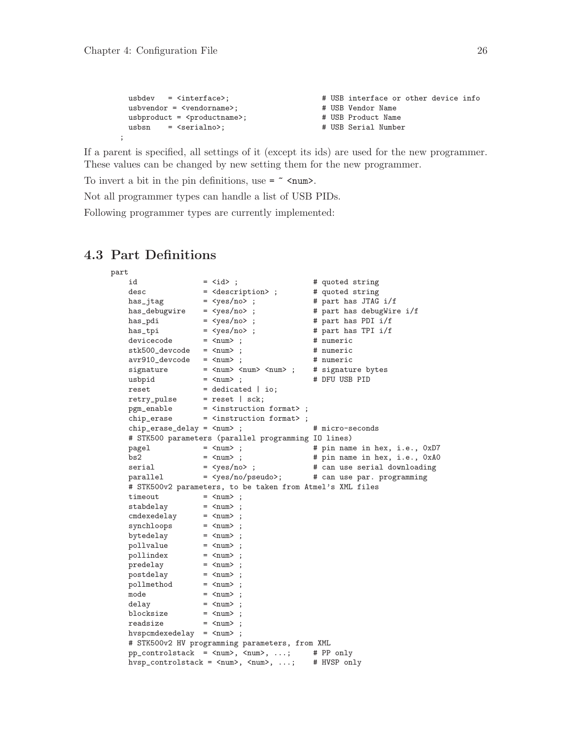;

```
usbdev = <interface>; \qquad # USB interface or other device info
usbvendor = \langle vendor name \rangle;usbproduct = <productname>;
usbuev - sincerials.<br>
usbyendor = <vendorname>; # USB Vendor Name<br>
usbyroduct = <productname>; # USB Product Name<br>
usbsn = <serialno>; # USB Serial Number
```
If a parent is specified, all settings of it (except its ids) are used for the new programmer. These values can be changed by new setting them for the new programmer.

To invert a bit in the pin definitions, use  $=$   $\sim$   $\epsilon$   $\sim$   $\epsilon$ .

Not all programmer types can handle a list of USB PIDs.

Following programmer types are currently implemented:

## 4.3 Part Definitions

```
part
   id = <i>i</i>d> ; \qquad # quoted string
   desc = <description> ; # quoted string
   has_jtag = <yes/no> ; # part has JTAG i/f
   has_debugwire = <yes/no> ; # part has debugWire i/f
   has_pdi = <yes/no> ; # part has PDI i/f
   has_tpi = <yes/no> ; # part has TPI i/f
   devicecode = <num> ; # numeric
   stk500_devcode = <num> ; # numeric
   avr910_devcode = <num> ; # numeric
   signature = <num> <num> <num> ; # signature bytes
   usbpid = <num> ; # DFU USB PID
   \texttt{reset} = dedicated | io;
   retry_pulse = reset | sck;
   pgm_enable = <instruction format> ;
   chip_erase = <instruction format> ;
   chip_erase_delay = <num> ; # micro-seconds
   # STK500 parameters (parallel programming IO lines)
   pagel = <num> ; # pin name in hex, i.e., 0xD7
   bs2 = <num> ; # pin name in hex, i.e., 0xA0
   serial = <yes/no> ; # can use serial downloading
   parallel = <yes/no/pseudo>; # can use par. programming
   # STK500v2 parameters, to be taken from Atmel's XML files
   timeout = \langle num \rangle;
   stabdelay = \langle num \rangle;
   cmdexedelay = <num> ;
   synchloops = \langle num \rangle;
   bytedelay = <num> ;
   pollvalue = <num> ;
   pollindex = \langle num \rangle;
   predelay = <num> ;
   postdelay = <num> ;
   pollmethod = <num> ;
   \text{mode} = \text{cnum} ;
   delay = \langlenum\rangle;
   blocksize = <num> ;
   \texttt{readsize} = \texttt{qnum};
   hvspcmdexedelay = \langlenum> ;
   # STK500v2 HV programming parameters, from XML
   pp\_controlstack = \langle num \rangle, \langle num \rangle, ...; # PP only
   hvsp_controlstack = \langle \text{num} \rangle, \langle \text{num} \rangle, ...; # HVSP only
```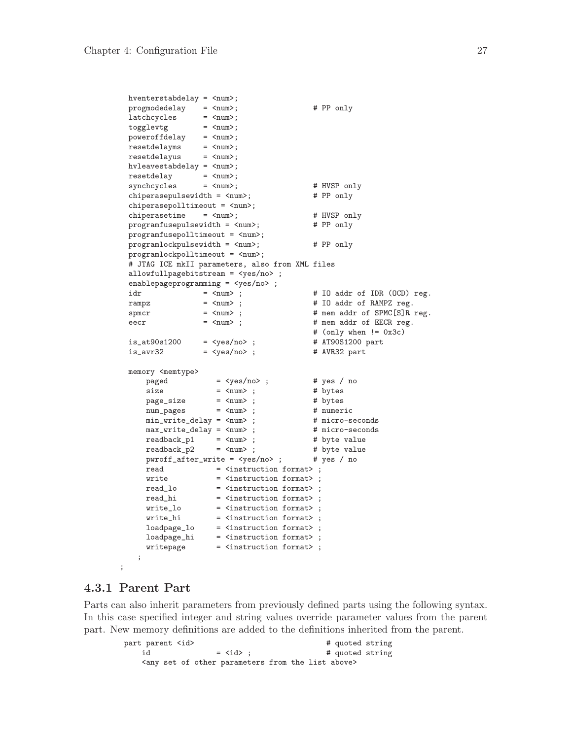```
hventerstabdelay = <num>;
progmodedelay = <num>; # PP only
latchcycles = <num>;
\begin{array}{lll} \texttt{program} & \texttt{if} & \texttt{if} \\ \texttt{latchcycles} & = & \texttt{Shum} \cdot \\ & \texttt{if} & \texttt{if} & \texttt{if} \\ & & \texttt{if} & \texttt{if} \\ \end{array}\texttt{power} \texttt{offdelay} \quad = \texttt{ {\sf \;} } \texttt{num} \texttt{~};resetdelayms = <num>;
resetdelayus = <num>;
hvleavestabdelay = <num>;
resetdelay = \langlenum>;<br>svnchcvcles = \langlenum>;
synchcycles = <num>; # HVSP only<br>chiperasepulsewidth = <num>; # PP only
chiperasepulsewidth = \langlenum>;
chiperasepolltimeout = <num>;
chiperasetime = <num>;    # HVSP only<br>programfusepulsewidth = <num>;    # PP only
programfusepulsewidth = <num;
programfusepolltimeout = <num>;
programlockpulsewidth = \langle num \rangle; # PP only
programlockpolltimeout = <num>;
# JTAG ICE mkII parameters, also from XML files
allowfullpagebitstream = <yes/no> ;
enablepageprogramming = <yes/no> ;<br>idr = <num> ;
idx = \langle num \rangle; \qquad \qquad # \text{ IO addr of IDR (OCD) reg.}rampz = \langle num \rangle; \qquad \qquad # IO addr of RAMPZ reg.
{\tt spmcr} \qquad \qquad = \ {\tt \langle num \rangle} \quad ; \qquad \qquad {\tt \#} \quad {\tt mem} \quad {\tt addr} \ \ {\tt of} \ \ {\tt SPMC[S]} \ {\tt R} \ \ {\tt reg}.\begin{array}{lll} \text{eecr} & = & \text{enum} \geq 1, \\ \text{then} & = & \text{when} \end{array}# (only when != 0x3c)
is\_at90s1200 = ; # AT90S1200 part<br>is\_avr32 = <i>yes/no</i>; # AVR32 part
is\_avr32 = <yes/no>; # AVR32 part
memory <memtype>
     \begin{tabular}{lllllll} \bf page d & = & \verb|<yes/no>| &  # yes / no \\ \bf size & = & \verb|<num>| &  &  # bytes \\ \end{tabular}\begin{tabular}{lllllll} \texttt{size} & = & & & & \texttt{ $\uparrow$} & \texttt{ $\updownarrow$} & \texttt{bytes} \\ \texttt{page\_size} & = & & & & \texttt{ $\uparrow$} & \texttt{https} \\ \texttt{num\_pages} & = & & & & \texttt{ $\updownarrow$} & \texttt{https} \\ \end{tabular}page_size = <num> ; # bytes
      num_pages = <num> ; # numeric
     min_write_delay = <num>;<br>
min_write_delay = <num>;<br>
max_write_delay = <num>;<br>
max_write_delay = <num>;<br>
micro-seconds<br>
readback_p1 = <num>;<br>
# byte value
     max\_write\_delay = <num>;
     readback_p1 = <num> ;<br>readback_p1 = <num> ;<br>readback_p2 = <num> ;
      readback_p2 = <num> ; # byte value
      pwroff_after_write = <yes/no> ; # yes / no
     read = <instruction format> ;
      write = <instruction format> ;
      read_lo = <instruction format> ;
      read_hi = <instruction format> ;
      write_lo = <instruction format> ;
      write_hi = <instruction format> ;
      loadpage_lo = <instruction format> ;
      loadpage_hi = <instruction format> ;
      writepage = <instruction format> ;
   ;
```
### 4.3.1 Parent Part

;

Parts can also inherit parameters from previously defined parts using the following syntax. In this case specified integer and string values override parameter values from the parent part. New memory definitions are added to the definitions inherited from the parent.

part parent <id>  $\qquad \qquad$  # quoted string  $id = *id*$  ;  $# quoted string$ <any set of other parameters from the list above>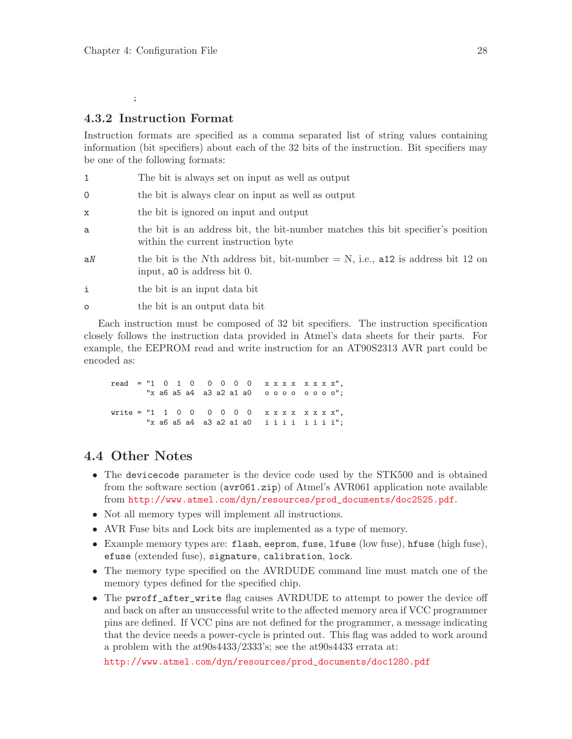;

## <span id="page-31-0"></span>4.3.2 Instruction Format

Instruction formats are specified as a comma separated list of string values containing information (bit specifiers) about each of the 32 bits of the instruction. Bit specifiers may be one of the following formats:

- 1 The bit is always set on input as well as output
- 0 the bit is always clear on input as well as output
- x the bit is ignored on input and output
- a the bit is an address bit, the bit-number matches this bit specifier's position within the current instruction byte
- aN the bit is the Nth address bit, bit-number  $= N$ , i.e., a12 is address bit 12 on input, a0 is address bit 0.
- i the bit is an input data bit
- o the bit is an output data bit

Each instruction must be composed of 32 bit specifiers. The instruction specification closely follows the instruction data provided in Atmel's data sheets for their parts. For example, the EEPROM read and write instruction for an AT90S2313 AVR part could be encoded as:

read = "1 0 1 0 0 0 0 0 x x x x x x x x x", "x a6 a5 a4 a3 a2 a1 a0 o o o o o o o o"; write = "1 1 0 0 0 0 0 0 0 x x x x x x x x", "x a6 a5 a4 a3 a2 a1 a0 i i i i i i i i";

## 4.4 Other Notes

- The device code parameter is the device code used by the STK500 and is obtained from the software section (avr061.zip) of Atmel's AVR061 application note available from [http://www.atmel.com/dyn/resources/prod\\_documents/doc2525.pdf](http://www.atmel.com/dyn/resources/prod_documents/doc2525.pdf).
- Not all memory types will implement all instructions.
- AVR Fuse bits and Lock bits are implemented as a type of memory.
- Example memory types are: flash, eeprom, fuse, lfuse (low fuse), hfuse (high fuse), efuse (extended fuse), signature, calibration, lock.
- The memory type specified on the AVRDUDE command line must match one of the memory types defined for the specified chip.
- The pwroff\_after\_write flag causes AVRDUDE to attempt to power the device off and back on after an unsuccessful write to the affected memory area if VCC programmer pins are defined. If VCC pins are not defined for the programmer, a message indicating that the device needs a power-cycle is printed out. This flag was added to work around a problem with the at90s4433/2333's; see the at90s4433 errata at:

[http://www.atmel.com/dyn/resources/prod\\_documents/doc1280.pdf](http://www.atmel.com/dyn/resources/prod_documents/doc1280.pdf)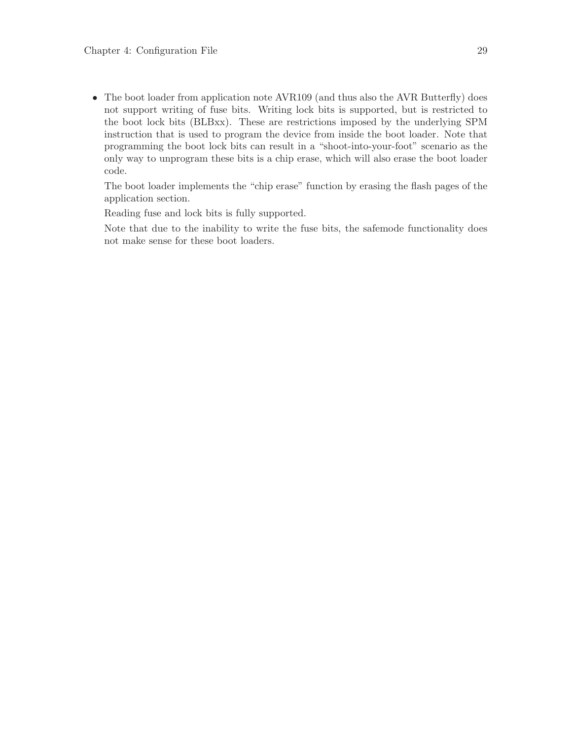• The boot loader from application note AVR109 (and thus also the AVR Butterfly) does not support writing of fuse bits. Writing lock bits is supported, but is restricted to the boot lock bits (BLBxx). These are restrictions imposed by the underlying SPM instruction that is used to program the device from inside the boot loader. Note that programming the boot lock bits can result in a "shoot-into-your-foot" scenario as the only way to unprogram these bits is a chip erase, which will also erase the boot loader code.

The boot loader implements the "chip erase" function by erasing the flash pages of the application section.

Reading fuse and lock bits is fully supported.

Note that due to the inability to write the fuse bits, the safemode functionality does not make sense for these boot loaders.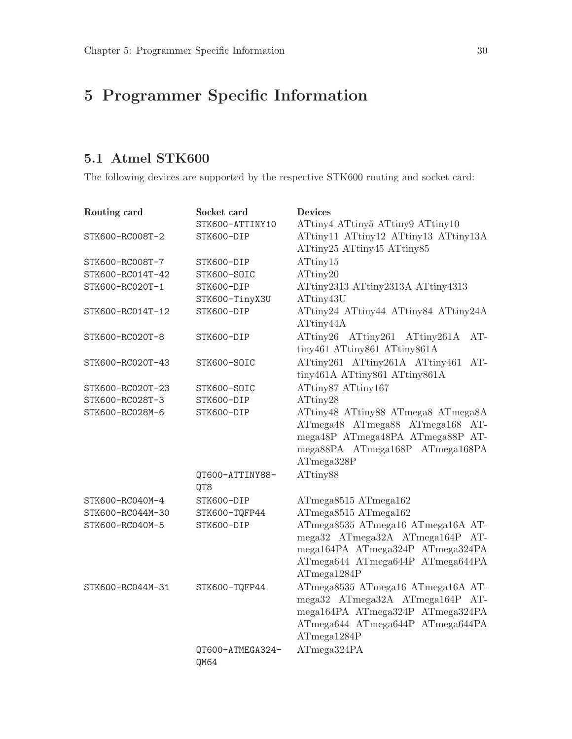# <span id="page-33-0"></span>5 Programmer Specific Information

# 5.1 Atmel STK600

The following devices are supported by the respective STK600 routing and socket card:

| Routing card     | Socket card                                                     | <b>Devices</b>                                                           |
|------------------|-----------------------------------------------------------------|--------------------------------------------------------------------------|
|                  | STK600-ATTINY10                                                 | ATtiny4 ATtiny5 ATtiny9 ATtiny10                                         |
| STK600-RC008T-2  | STK600-DIP                                                      | ATtiny11 ATtiny12 ATtiny13 ATtiny13A                                     |
|                  |                                                                 | ATtiny25 ATtiny45 ATtiny85                                               |
| STK600-RC008T-7  | STK600-DIP                                                      | ATtiny15                                                                 |
| STK600-RC014T-42 | STK600-SOIC                                                     | ATtiny20                                                                 |
| STK600-RC020T-1  | STK600-DIP                                                      | ATtiny2313 ATtiny2313A ATtiny4313                                        |
|                  | STK600-TinyX3U                                                  | ATtiny43U                                                                |
| STK600-RC014T-12 | STK600-DIP<br>ATtiny24 ATtiny44 ATtiny84 ATtiny24A<br>ATtiny44A |                                                                          |
| STK600-RC020T-8  | STK600-DIP                                                      | ATtiny26 ATtiny261 ATtiny261A<br>$AT-$                                   |
|                  |                                                                 | tiny461 ATtiny861 ATtiny861A                                             |
| STK600-RC020T-43 | STK600-SOIC                                                     | ATtiny261 ATtiny261A ATtiny461<br>$AT-$<br>tiny461A ATtiny861 ATtiny861A |
| STK600-RC020T-23 | STK600-SOIC                                                     | ATtiny87 ATtiny167                                                       |
| STK600-RC028T-3  | STK600-DIP                                                      | ATtiny28                                                                 |
| STK600-RC028M-6  | STK600-DIP                                                      | ATtiny48 ATtiny88 ATmega8 ATmega8A                                       |
|                  |                                                                 | ATmega48 ATmega88 ATmega168 AT-                                          |
|                  |                                                                 | mega48P ATmega48PA ATmega88P AT-                                         |
|                  |                                                                 | mega88PA ATmega168P ATmega168PA                                          |
|                  |                                                                 | ATmega328P                                                               |
|                  | QT600-ATTINY88-                                                 | ATtiny88                                                                 |
|                  | QT8                                                             |                                                                          |
| STK600-RC040M-4  | STK600-DIP                                                      | ATmega8515 ATmega162                                                     |
| STK600-RC044M-30 | STK600-TQFP44                                                   | ATmega8515 ATmega162                                                     |
| STK600-RC040M-5  | STK600-DIP                                                      | ATmega8535 ATmega16 ATmega16A AT-                                        |
|                  |                                                                 | mega32 ATmega32A ATmega164P AT-                                          |
|                  |                                                                 | mega164PA ATmega324P ATmega324PA                                         |
|                  |                                                                 | ATmega644 ATmega644P ATmega644PA                                         |
|                  |                                                                 | ATmega1284P                                                              |
| STK600-RC044M-31 | STK600-TQFP44                                                   | ATmega8535 ATmega16 ATmega16A AT-                                        |
|                  |                                                                 | mega32 ATmega32A ATmega164P AT-                                          |
|                  |                                                                 | mega164PA ATmega324P ATmega324PA                                         |
|                  |                                                                 | ATmega644 ATmega644P ATmega644PA                                         |
|                  |                                                                 | ATmega1284P                                                              |
|                  | QT600-ATMEGA324-                                                | ATmega324PA                                                              |
|                  | QM64                                                            |                                                                          |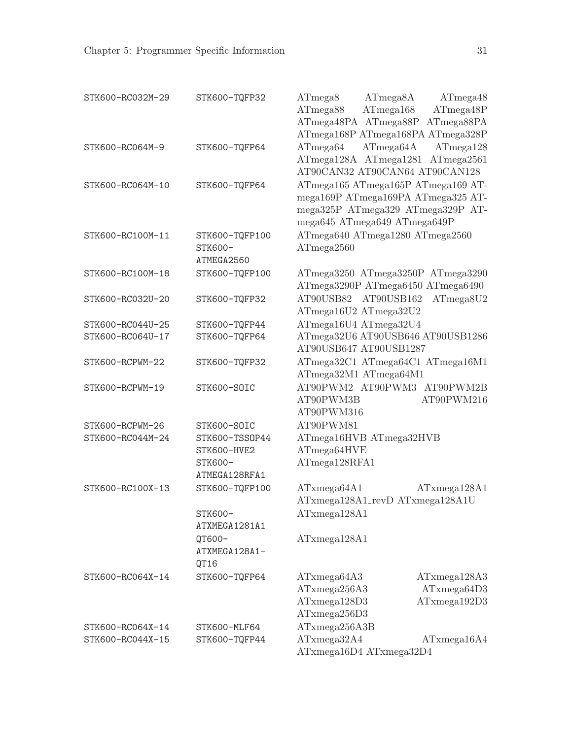| STK600-RC032M-29 | STK600-TQFP32  | ATmega8<br>ATmega8A                | ATmega48     |
|------------------|----------------|------------------------------------|--------------|
|                  |                | ATmega168<br>ATmega88              | ATmega48P    |
|                  |                | ATmega48PA ATmega88P ATmega88PA    |              |
|                  |                | ATmega168P ATmega168PA ATmega328P  |              |
| STK600-RC064M-9  | STK600-TQFP64  | ATmega64A<br>ATmega64              | ATmega128    |
|                  |                | ATmega128A ATmega1281 ATmega2561   |              |
|                  |                | AT90CAN32 AT90CAN64 AT90CAN128     |              |
| STK600-RC064M-10 | STK600-TQFP64  | ATmega165 ATmega165P ATmega169 AT- |              |
|                  |                | mega169P ATmega169PA ATmega325 AT- |              |
|                  |                | mega325P ATmega329 ATmega329P AT-  |              |
|                  |                | mega645 ATmega649 ATmega649P       |              |
| STK600-RC100M-11 | STK600-TQFP100 | ATmega640 ATmega1280 ATmega2560    |              |
|                  | STK600-        | ATmega2560                         |              |
|                  | ATMEGA2560     |                                    |              |
| STK600-RC100M-18 | STK600-TQFP100 | ATmega3250 ATmega3250P ATmega3290  |              |
|                  |                | ATmega3290P ATmega6450 ATmega6490  |              |
| STK600-RC032U-20 | STK600-TQFP32  | AT90USB82 AT90USB162 ATmega8U2     |              |
|                  |                | ATmega16U2 ATmega32U2              |              |
| STK600-RC044U-25 | STK600-TQFP44  | ATmega16U4 ATmega32U4              |              |
| STK600-RC064U-17 | STK600-TQFP64  | ATmega32U6 AT90USB646 AT90USB1286  |              |
|                  |                | AT90USB647 AT90USB1287             |              |
| STK600-RCPWM-22  | STK600-TQFP32  | ATmega32C1 ATmega64C1 ATmega16M1   |              |
|                  |                | ATmega32M1 ATmega64M1              |              |
| STK600-RCPWM-19  | STK600-SOIC    | AT90PWM2 AT90PWM3 AT90PWM2B        |              |
|                  |                | AT90PWM3B                          | AT90PWM216   |
|                  |                | AT90PWM316                         |              |
| STK600-RCPWM-26  | STK600-SOIC    | AT90PWM81                          |              |
| STK600-RC044M-24 | STK600-TSS0P44 | ATmega16HVB ATmega32HVB            |              |
|                  | STK600-HVE2    | ATmega64HVE                        |              |
|                  | STK600-        | ATmega128RFA1                      |              |
|                  | ATMEGA128RFA1  |                                    |              |
| STK600-RC100X-13 | STK600-TQFP100 | ATxmega64A1                        | ATxmega128A1 |
|                  |                | ATxmega128A1_revD ATxmega128A1U    |              |
|                  | STK600-        | ATxmega128A1                       |              |
|                  | ATXMEGA1281A1  |                                    |              |
|                  | QT600-         | ATxmega128A1                       |              |
|                  | ATXMEGA128A1-  |                                    |              |
|                  | QT16           |                                    |              |
| STK600-RC064X-14 | STK600-TQFP64  | ATxmega64A3                        | ATxmega128A3 |
|                  |                | ATxmega256A3                       | ATxmega64D3  |
|                  |                | ATxmega128D3                       | ATxmega192D3 |
|                  |                | ATxmega256D3                       |              |
| STK600-RC064X-14 | STK600-MLF64   | ATxmega256A3B                      |              |
| STK600-RC044X-15 | STK600-TQFP44  | ATxmega32A4                        | ATxmega16A4  |
|                  |                | ATxmega16D4 ATxmega32D4            |              |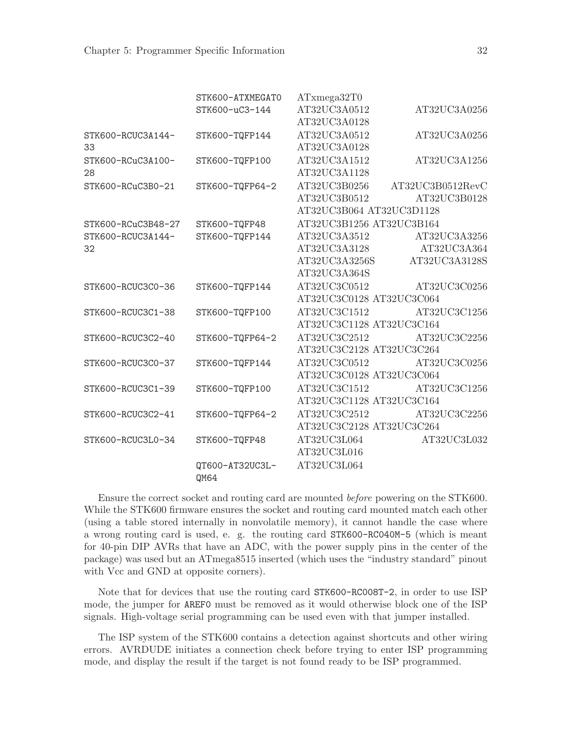|                    | STK600-ATXMEGAT0 | ATxmega32T0                   |                  |
|--------------------|------------------|-------------------------------|------------------|
|                    | STK600-uC3-144   | AT32UC3A0512                  | AT32UC3A0256     |
|                    |                  | AT32UC3A0128                  |                  |
| STK600-RCUC3A144-  | STK600-TQFP144   | AT32UC3A0512                  | AT32UC3A0256     |
| 33                 |                  | AT32UC3A0128                  |                  |
| STK600-RCuC3A100-  | STK600-TQFP100   | AT32UC3A1512                  | AT32UC3A1256     |
| 28                 |                  | AT32UC3A1128                  |                  |
| STK600-RCuC3B0-21  | STK600-TQFP64-2  | AT32UC3B0256                  | AT32UC3B0512RevC |
|                    |                  | AT32UC3B0512                  | AT32UC3B0128     |
|                    |                  | AT32UC3B064 AT32UC3D1128      |                  |
| STK600-RCuC3B48-27 | STK600-TQFP48    | AT32UC3B1256 AT32UC3B164      |                  |
| STK600-RCUC3A144-  | STK600-TQFP144   | $\operatorname{AT32UC3A3512}$ | AT32UC3A3256     |
| 32                 |                  | AT32UC3A3128                  | AT32UC3A364      |
|                    |                  | AT32UC3A3256S                 | AT32UC3A3128S    |
|                    |                  | AT32UC3A364S                  |                  |
| STK600-RCUC3C0-36  | STK600-TQFP144   | AT32UC3C0512                  | AT32UC3C0256     |
|                    |                  | AT32UC3C0128 AT32UC3C064      |                  |
| STK600-RCUC3C1-38  | STK600-TQFP100   | AT32UC3C1512                  | AT32UC3C1256     |
|                    |                  | AT32UC3C1128 AT32UC3C164      |                  |
| STK600-RCUC3C2-40  | STK600-TQFP64-2  | AT32UC3C2512                  | AT32UC3C2256     |
|                    |                  | AT32UC3C2128 AT32UC3C264      |                  |
| STK600-RCUC3C0-37  | STK600-TQFP144   | AT32UC3C0512                  | AT32UC3C0256     |
|                    |                  | AT32UC3C0128 AT32UC3C064      |                  |
| STK600-RCUC3C1-39  | STK600-TQFP100   | AT32UC3C1512                  | AT32UC3C1256     |
|                    |                  | AT32UC3C1128 AT32UC3C164      |                  |
| STK600-RCUC3C2-41  | STK600-TQFP64-2  | AT32UC3C2512                  | AT32UC3C2256     |
|                    |                  | AT32UC3C2128 AT32UC3C264      |                  |
| STK600-RCUC3L0-34  | STK600-TQFP48    | AT32UC3L064                   | AT32UC3L032      |
|                    |                  | AT32UC3L016                   |                  |
|                    | QT600-AT32UC3L-  | AT32UC3L064                   |                  |
|                    | QM64             |                               |                  |

Ensure the correct socket and routing card are mounted before powering on the STK600. While the STK600 firmware ensures the socket and routing card mounted match each other (using a table stored internally in nonvolatile memory), it cannot handle the case where a wrong routing card is used, e. g. the routing card STK600-RC040M-5 (which is meant for 40-pin DIP AVRs that have an ADC, with the power supply pins in the center of the package) was used but an ATmega8515 inserted (which uses the "industry standard" pinout with Vcc and GND at opposite corners).

Note that for devices that use the routing card STK600-RC008T-2, in order to use ISP mode, the jumper for AREF0 must be removed as it would otherwise block one of the ISP signals. High-voltage serial programming can be used even with that jumper installed.

The ISP system of the STK600 contains a detection against shortcuts and other wiring errors. AVRDUDE initiates a connection check before trying to enter ISP programming mode, and display the result if the target is not found ready to be ISP programmed.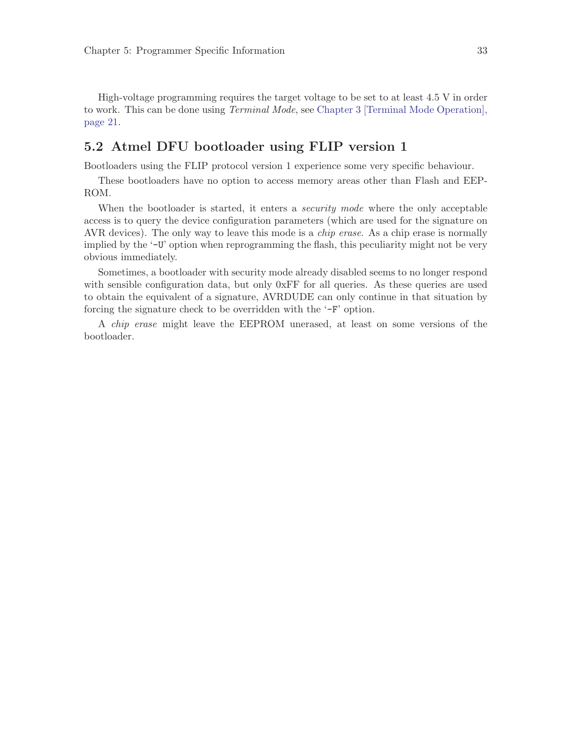<span id="page-36-0"></span>High-voltage programming requires the target voltage to be set to at least 4.5 V in order to work. This can be done using *Terminal Mode*, see [Chapter 3 \[Terminal Mode Operation\],](#page-24-0) [page 21](#page-24-0).

# 5.2 Atmel DFU bootloader using FLIP version 1

Bootloaders using the FLIP protocol version 1 experience some very specific behaviour.

These bootloaders have no option to access memory areas other than Flash and EEP-ROM.

When the bootloader is started, it enters a *security mode* where the only acceptable access is to query the device configuration parameters (which are used for the signature on AVR devices). The only way to leave this mode is a *chip erase*. As a chip erase is normally implied by the '-U' option when reprogramming the flash, this peculiarity might not be very obvious immediately.

Sometimes, a bootloader with security mode already disabled seems to no longer respond with sensible configuration data, but only 0xFF for all queries. As these queries are used to obtain the equivalent of a signature, AVRDUDE can only continue in that situation by forcing the signature check to be overridden with the '-F' option.

A chip erase might leave the EEPROM unerased, at least on some versions of the bootloader.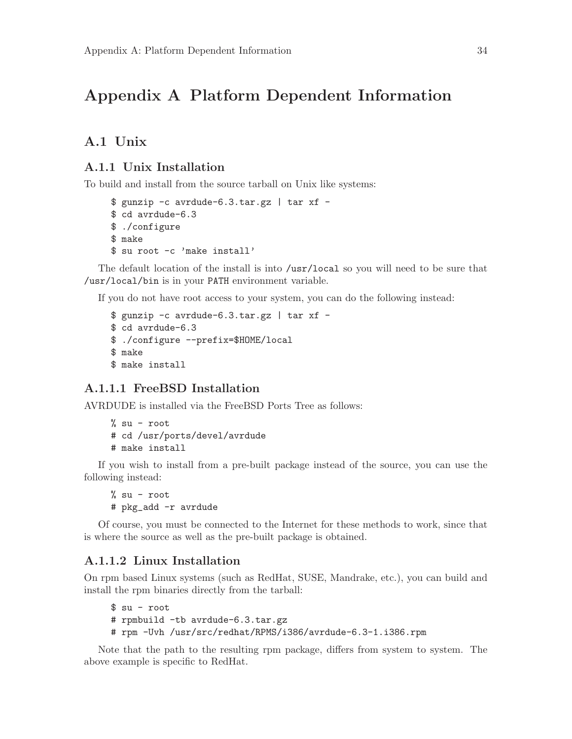# <span id="page-37-0"></span>Appendix A Platform Dependent Information

# A.1 Unix

## A.1.1 Unix Installation

To build and install from the source tarball on Unix like systems:

```
\text{\$ gunzip -c avrdude-6.3.tar.gz | tar xf -
$ cd avrdude-6.3
$ ./configure
$ make
$ su root -c 'make install'
```
The default location of the install is into /usr/local so you will need to be sure that /usr/local/bin is in your PATH environment variable.

If you do not have root access to your system, you can do the following instead:

```
\text{\$ gunzip -c avrdude-6.3.tar.gz | tar xf -
$ cd avrdude-6.3
$ ./configure --prefix=$HOME/local
$ make
$ make install
```
## A.1.1.1 FreeBSD Installation

AVRDUDE is installed via the FreeBSD Ports Tree as follows:

```
% su - root
# cd /usr/ports/devel/avrdude
# make install
```
If you wish to install from a pre-built package instead of the source, you can use the following instead:

% su - root # pkg\_add -r avrdude

Of course, you must be connected to the Internet for these methods to work, since that is where the source as well as the pre-built package is obtained.

## A.1.1.2 Linux Installation

On rpm based Linux systems (such as RedHat, SUSE, Mandrake, etc.), you can build and install the rpm binaries directly from the tarball:

```
$ su - root
# rpmbuild -tb avrdude-6.3.tar.gz
# rpm -Uvh /usr/src/redhat/RPMS/i386/avrdude-6.3-1.i386.rpm
```
Note that the path to the resulting rpm package, differs from system to system. The above example is specific to RedHat.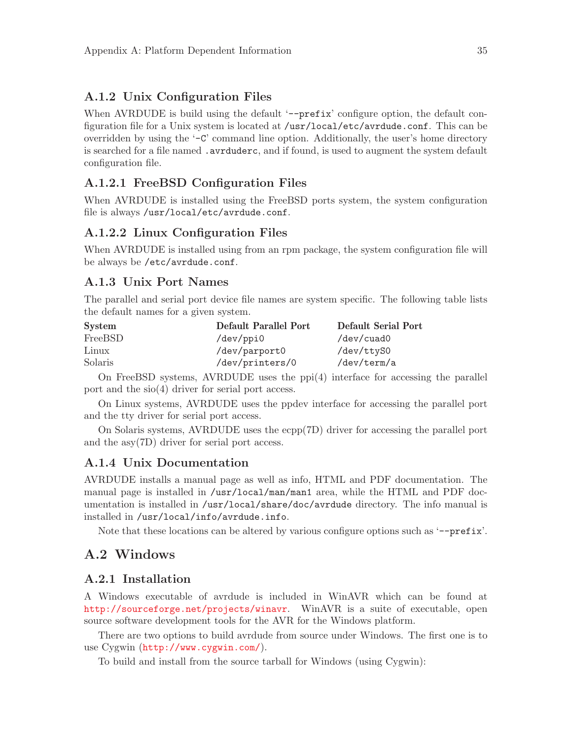## <span id="page-38-0"></span>A.1.2 Unix Configuration Files

When AVRDUDE is build using the default '--prefix' configure option, the default configuration file for a Unix system is located at /usr/local/etc/avrdude.conf. This can be overridden by using the '-C' command line option. Additionally, the user's home directory is searched for a file named . avrduderc, and if found, is used to augment the system default configuration file.

### A.1.2.1 FreeBSD Configuration Files

When AVRDUDE is installed using the FreeBSD ports system, the system configuration file is always /usr/local/etc/avrdude.conf.

## A.1.2.2 Linux Configuration Files

When AVRDUDE is installed using from an rpm package, the system configuration file will be always be /etc/avrdude.conf.

## A.1.3 Unix Port Names

The parallel and serial port device file names are system specific. The following table lists the default names for a given system.

| System  | Default Parallel Port | Default Serial Port |
|---------|-----------------------|---------------------|
| FreeBSD | /dev/ppi0             | /dev/cuad0          |
| Linux   | /dev/parport0         | /dev/ttyS0          |
| Solaris | /dev/printers/0       | /dev/term/a         |

On FreeBSD systems, AVRDUDE uses the ppi(4) interface for accessing the parallel port and the sio(4) driver for serial port access.

On Linux systems, AVRDUDE uses the ppdev interface for accessing the parallel port and the tty driver for serial port access.

On Solaris systems, AVRDUDE uses the ecpp(7D) driver for accessing the parallel port and the asy(7D) driver for serial port access.

### A.1.4 Unix Documentation

AVRDUDE installs a manual page as well as info, HTML and PDF documentation. The manual page is installed in /usr/local/man/man1 area, while the HTML and PDF documentation is installed in /usr/local/share/doc/avrdude directory. The info manual is installed in /usr/local/info/avrdude.info.

Note that these locations can be altered by various configure options such as '--prefix'.

## A.2 Windows

### A.2.1 Installation

A Windows executable of avrdude is included in WinAVR which can be found at <http://sourceforge.net/projects/winavr>. WinAVR is a suite of executable, open source software development tools for the AVR for the Windows platform.

There are two options to build avrdude from source under Windows. The first one is to use Cygwin (<http://www.cygwin.com/>).

To build and install from the source tarball for Windows (using Cygwin):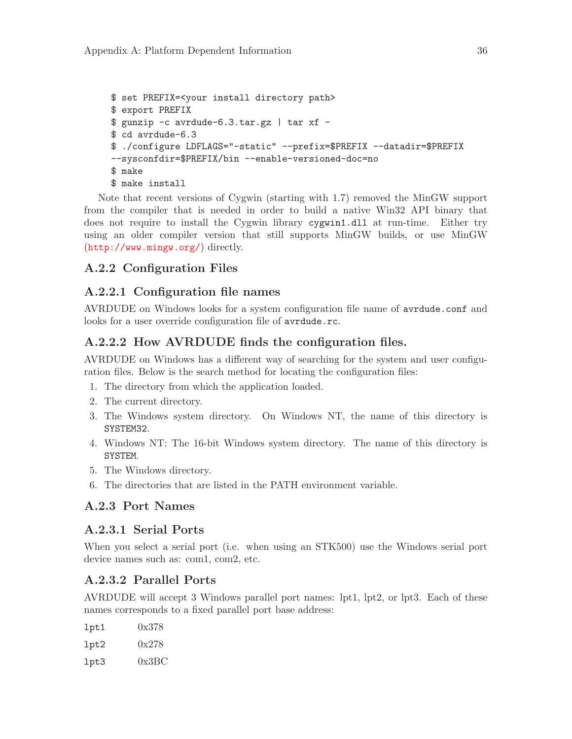```
$ set PREFIX=<your install directory path>
$ export PREFIX
$ gunzip -c avrdude-6.3.tar.gz | tar xf -
$ cd avrdude-6.3
$ ./configure LDFLAGS="-static" --prefix=$PREFIX --datadir=$PREFIX
--sysconfdir=$PREFIX/bin --enable-versioned-doc=no
$ make
$ make install
```
Note that recent versions of Cygwin (starting with 1.7) removed the MinGW support from the compiler that is needed in order to build a native Win32 API binary that does not require to install the Cygwin library cygwin1.dll at run-time. Either try using an older compiler version that still supports MinGW builds, or use MinGW (<http://www.mingw.org/>) directly.

## A.2.2 Configuration Files

## A.2.2.1 Configuration file names

AVRDUDE on Windows looks for a system configuration file name of avrdude.conf and looks for a user override configuration file of avrdude.rc.

## A.2.2.2 How AVRDUDE finds the configuration files.

AVRDUDE on Windows has a different way of searching for the system and user configuration files. Below is the search method for locating the configuration files:

- 1. The directory from which the application loaded.
- 2. The current directory.
- 3. The Windows system directory. On Windows NT, the name of this directory is SYSTEM32.
- 4. Windows NT: The 16-bit Windows system directory. The name of this directory is SYSTEM.
- 5. The Windows directory.
- 6. The directories that are listed in the PATH environment variable.

## A.2.3 Port Names

## A.2.3.1 Serial Ports

When you select a serial port (i.e. when using an STK500) use the Windows serial port device names such as: com1, com2, etc.

## A.2.3.2 Parallel Ports

AVRDUDE will accept 3 Windows parallel port names: lpt1, lpt2, or lpt3. Each of these names corresponds to a fixed parallel port base address:

| 1pt1 | 0x378 |
|------|-------|
| 1pt2 | 0x278 |
| 1pt3 | 0x3BC |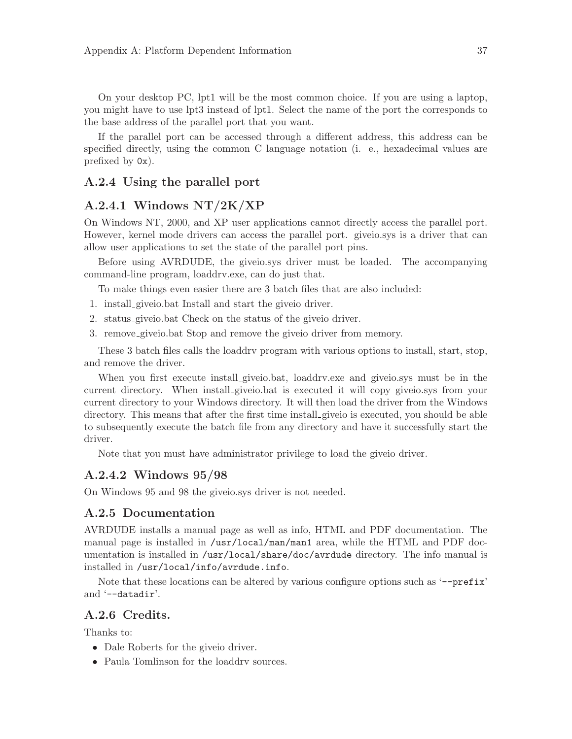<span id="page-40-0"></span>On your desktop PC, lpt1 will be the most common choice. If you are using a laptop, you might have to use lpt3 instead of lpt1. Select the name of the port the corresponds to the base address of the parallel port that you want.

If the parallel port can be accessed through a different address, this address can be specified directly, using the common C language notation (i. e., hexadecimal values are prefixed by 0x).

### A.2.4 Using the parallel port

## A.2.4.1 Windows NT/2K/XP

On Windows NT, 2000, and XP user applications cannot directly access the parallel port. However, kernel mode drivers can access the parallel port. giveio.sys is a driver that can allow user applications to set the state of the parallel port pins.

Before using AVRDUDE, the giveio.sys driver must be loaded. The accompanying command-line program, loaddrv.exe, can do just that.

To make things even easier there are 3 batch files that are also included:

- 1. install giveio.bat Install and start the giveio driver.
- 2. status giveio.bat Check on the status of the giveio driver.
- 3. remove giveio.bat Stop and remove the giveio driver from memory.

These 3 batch files calls the loaddrv program with various options to install, start, stop, and remove the driver.

When you first execute install giveio.bat, loaddrv.exe and giveio.sys must be in the current directory. When install giveio.bat is executed it will copy giveio.sys from your current directory to your Windows directory. It will then load the driver from the Windows directory. This means that after the first time install giveio is executed, you should be able to subsequently execute the batch file from any directory and have it successfully start the driver.

Note that you must have administrator privilege to load the giveio driver.

#### A.2.4.2 Windows 95/98

On Windows 95 and 98 the giveio.sys driver is not needed.

### A.2.5 Documentation

AVRDUDE installs a manual page as well as info, HTML and PDF documentation. The manual page is installed in /usr/local/man/man1 area, while the HTML and PDF documentation is installed in /usr/local/share/doc/avrdude directory. The info manual is installed in /usr/local/info/avrdude.info.

Note that these locations can be altered by various configure options such as '--prefix' and '--datadir'.

## A.2.6 Credits.

Thanks to:

- Dale Roberts for the give io driver.
- Paula Tomlinson for the loaddry sources.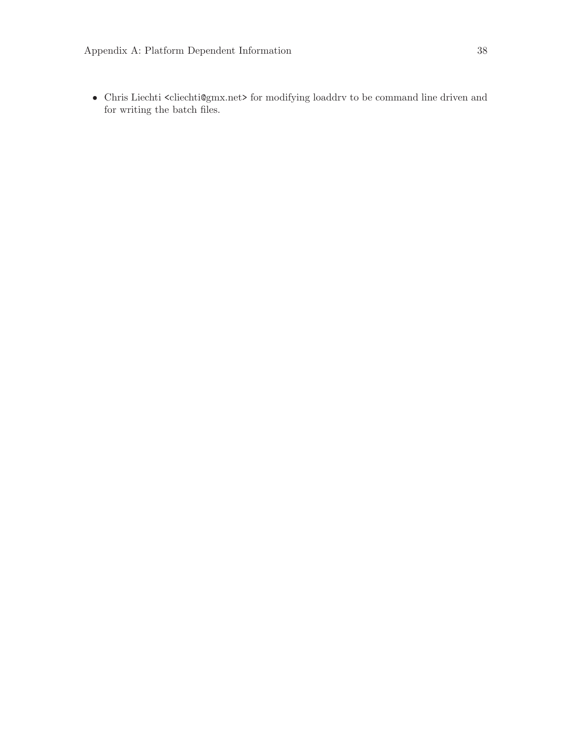$\bullet~$  Chris Liechti $<$ cliechti@gmx.net> for modifying loaddrv to be command line driven and for writing the batch files.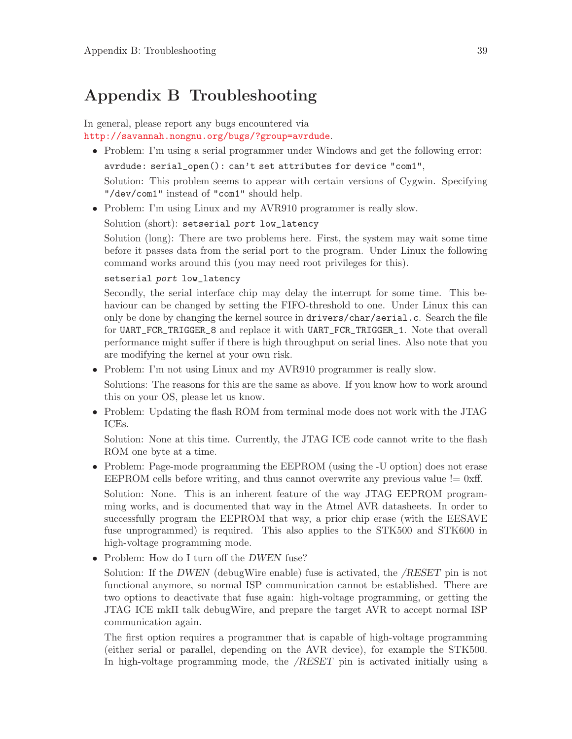# <span id="page-42-0"></span>Appendix B Troubleshooting

## In general, please report any bugs encountered via <http://savannah.nongnu.org/bugs/?group=avrdude>.

• Problem: I'm using a serial programmer under Windows and get the following error:

avrdude: serial\_open(): can't set attributes for device "com1",

Solution: This problem seems to appear with certain versions of Cygwin. Specifying "/dev/com1" instead of "com1" should help.

• Problem: I'm using Linux and my AVR910 programmer is really slow.

Solution (short): setserial port low\_latency

Solution (long): There are two problems here. First, the system may wait some time before it passes data from the serial port to the program. Under Linux the following command works around this (you may need root privileges for this).

#### setserial port low\_latency

Secondly, the serial interface chip may delay the interrupt for some time. This behaviour can be changed by setting the FIFO-threshold to one. Under Linux this can only be done by changing the kernel source in drivers/char/serial.c. Search the file for UART\_FCR\_TRIGGER\_8 and replace it with UART\_FCR\_TRIGGER\_1. Note that overall performance might suffer if there is high throughput on serial lines. Also note that you are modifying the kernel at your own risk.

• Problem: I'm not using Linux and my AVR910 programmer is really slow.

Solutions: The reasons for this are the same as above. If you know how to work around this on your OS, please let us know.

• Problem: Updating the flash ROM from terminal mode does not work with the JTAG ICEs.

Solution: None at this time. Currently, the JTAG ICE code cannot write to the flash ROM one byte at a time.

• Problem: Page-mode programming the EEPROM (using the -U option) does not erase EEPROM cells before writing, and thus cannot overwrite any previous value  $!= 0$ xff.

Solution: None. This is an inherent feature of the way JTAG EEPROM programming works, and is documented that way in the Atmel AVR datasheets. In order to successfully program the EEPROM that way, a prior chip erase (with the EESAVE fuse unprogrammed) is required. This also applies to the STK500 and STK600 in high-voltage programming mode.

• Problem: How do I turn off the *DWEN* fuse?

Solution: If the DWEN (debugWire enable) fuse is activated, the /RESET pin is not functional anymore, so normal ISP communication cannot be established. There are two options to deactivate that fuse again: high-voltage programming, or getting the JTAG ICE mkII talk debugWire, and prepare the target AVR to accept normal ISP communication again.

The first option requires a programmer that is capable of high-voltage programming (either serial or parallel, depending on the AVR device), for example the STK500. In high-voltage programming mode, the /RESET pin is activated initially using a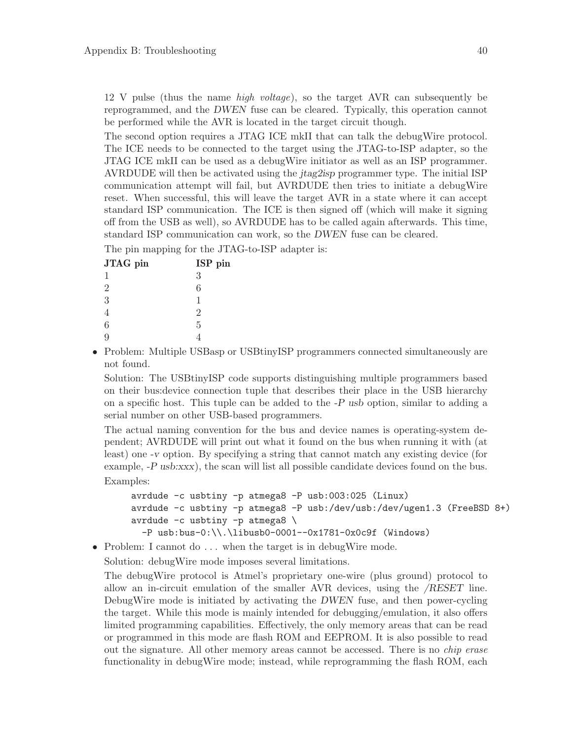12 V pulse (thus the name high voltage), so the target AVR can subsequently be reprogrammed, and the DWEN fuse can be cleared. Typically, this operation cannot be performed while the AVR is located in the target circuit though.

The second option requires a JTAG ICE mkII that can talk the debugWire protocol. The ICE needs to be connected to the target using the JTAG-to-ISP adapter, so the JTAG ICE mkII can be used as a debugWire initiator as well as an ISP programmer. AVRDUDE will then be activated using the jtag2isp programmer type. The initial ISP communication attempt will fail, but AVRDUDE then tries to initiate a debugWire reset. When successful, this will leave the target AVR in a state where it can accept standard ISP communication. The ICE is then signed off (which will make it signing off from the USB as well), so AVRDUDE has to be called again afterwards. This time, standard ISP communication can work, so the DWEN fuse can be cleared.

The pin mapping for the JTAG-to-ISP adapter is:

| JTAG pin       | ISP pin |
|----------------|---------|
| 1              | 3       |
| $\overline{2}$ | 6       |
| 3              | 1       |
|                | 2       |
| 6              | 5       |
|                |         |
|                |         |

• Problem: Multiple USBasp or USBtinyISP programmers connected simultaneously are not found.

Solution: The USBtinyISP code supports distinguishing multiple programmers based on their bus:device connection tuple that describes their place in the USB hierarchy on a specific host. This tuple can be added to the -P usb option, similar to adding a serial number on other USB-based programmers.

The actual naming convention for the bus and device names is operating-system dependent; AVRDUDE will print out what it found on the bus when running it with (at least) one -v option. By specifying a string that cannot match any existing device (for example, -P usb:xxx), the scan will list all possible candidate devices found on the bus. Examples:

```
avrdude -c usbtiny -p atmega8 -P usb:003:025 (Linux)
avrdude -c usbtiny -p atmega8 -P usb:/dev/usb:/dev/ugen1.3 (FreeBSD 8+)
avrdude -c usbtiny -p atmega8 \
 -P usb:bus-0:\\.\libusb0-0001--0x1781-0x0c9f (Windows)
```
• Problem: I cannot do ... when the target is in debugWire mode.

Solution: debugWire mode imposes several limitations.

The debugWire protocol is Atmel's proprietary one-wire (plus ground) protocol to allow an in-circuit emulation of the smaller AVR devices, using the /RESET line. DebugWire mode is initiated by activating the DWEN fuse, and then power-cycling the target. While this mode is mainly intended for debugging/emulation, it also offers limited programming capabilities. Effectively, the only memory areas that can be read or programmed in this mode are flash ROM and EEPROM. It is also possible to read out the signature. All other memory areas cannot be accessed. There is no chip erase functionality in debugWire mode; instead, while reprogramming the flash ROM, each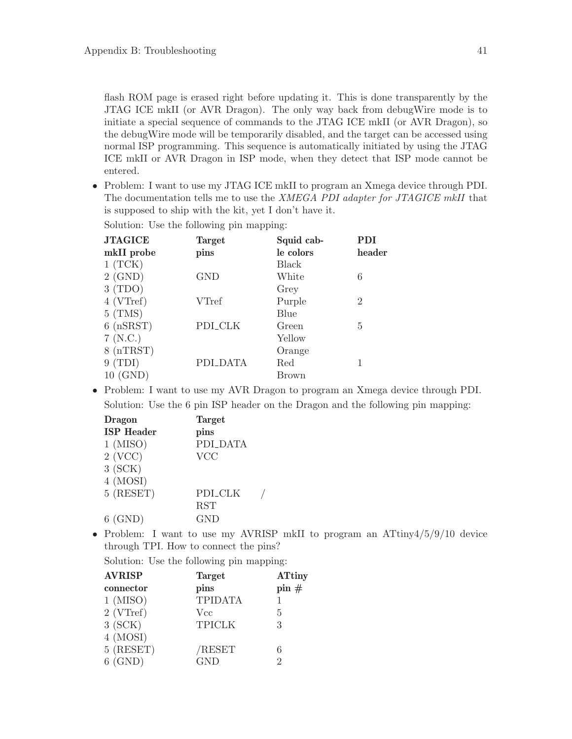flash ROM page is erased right before updating it. This is done transparently by the JTAG ICE mkII (or AVR Dragon). The only way back from debugWire mode is to initiate a special sequence of commands to the JTAG ICE mkII (or AVR Dragon), so the debugWire mode will be temporarily disabled, and the target can be accessed using normal ISP programming. This sequence is automatically initiated by using the JTAG ICE mkII or AVR Dragon in ISP mode, when they detect that ISP mode cannot be entered.

• Problem: I want to use my JTAG ICE mkII to program an Xmega device through PDI. The documentation tells me to use the XMEGA PDI adapter for JTAGICE mkII that is supposed to ship with the kit, yet I don't have it.

| <b>JTAGICE</b>         | <b>Target</b> | Squid cab- | PDI            |
|------------------------|---------------|------------|----------------|
| mkII probe             | pins          | le colors  | header         |
| $1$ (TCK)              |               | Black      |                |
| $2$ (GND)              | <b>GND</b>    | White      | 6              |
| 3(TDO)                 |               | Grey       |                |
| $4$ (VTref)            | <b>VTref</b>  | Purple     | $\overline{2}$ |
| $5$ (TMS)              |               | Blue       |                |
| $6$ ( $nS\text{RST}$ ) | PDI_CLK       | Green      | 5              |
| 7(N.C.)                |               | Yellow     |                |
| $8$ (nTRST)            |               | Orange     |                |
| 9(TDI)                 | PDI_DATA      | Red        |                |
| 10 (GND)               |               | Brown      |                |

Solution: Use the following pin mapping:

• Problem: I want to use my AVR Dragon to program an Xmega device through PDI. Solution: Use the 6 pin ISP header on the Dragon and the following pin mapping:

| <b>Dragon</b>     | <b>Target</b>  |
|-------------------|----------------|
| <b>ISP</b> Header | pins           |
| $1$ (MISO)        | PDI_DATA       |
| $2$ (VCC)         | <b>VCC</b>     |
| 3(SCK)            |                |
| 4 (MOSI)          |                |
| $5$ (RESET)       | <b>PDI_CLK</b> |
|                   | <b>RST</b>     |
| $6$ (GND)         | <b>GND</b>     |

• Problem: I want to use my AVRISP mkII to program an ATtiny4/5/9/10 device through TPI. How to connect the pins?

Solution: Use the following pin mapping:

| <b>AVRISP</b> | <b>Target</b>  | <b>ATtiny</b> |
|---------------|----------------|---------------|
| connector     | pins           | pin#          |
| $1$ (MISO)    | <b>TPIDATA</b> |               |
| $2$ (VTref)   | <b>Vcc</b>     | 5             |
| $3$ (SCK)     | <b>TPICLK</b>  | 3             |
| 4 (MOSI)      |                |               |
| $5$ (RESET)   | /RESET         | 6             |
| (GND)         | GND            | 9             |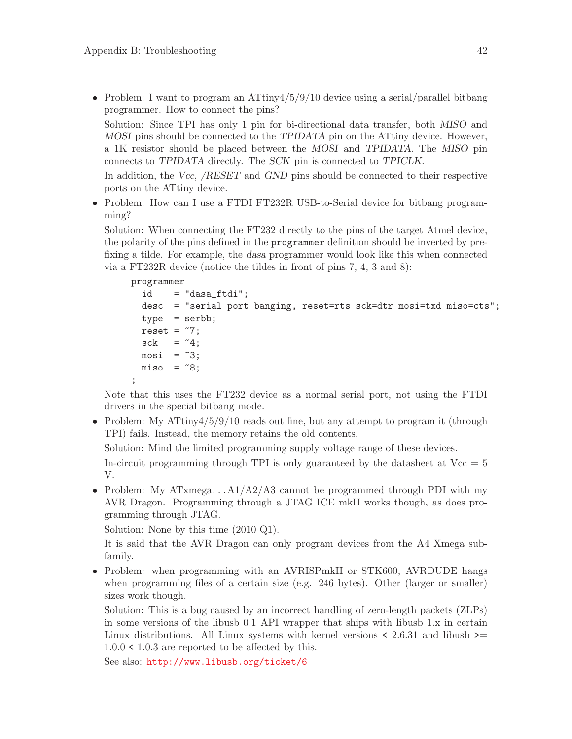• Problem: I want to program an ATtiny4/5/9/10 device using a serial/parallel bitbang programmer. How to connect the pins?

Solution: Since TPI has only 1 pin for bi-directional data transfer, both MISO and MOSI pins should be connected to the TPIDATA pin on the ATtiny device. However, a 1K resistor should be placed between the MOSI and TPIDATA. The MISO pin connects to TPIDATA directly. The SCK pin is connected to TPICLK.

In addition, the Vcc, /RESET and GND pins should be connected to their respective ports on the ATtiny device.

• Problem: How can I use a FTDI FT232R USB-to-Serial device for bitbang programming?

Solution: When connecting the FT232 directly to the pins of the target Atmel device, the polarity of the pins defined in the programmer definition should be inverted by prefixing a tilde. For example, the dasa programmer would look like this when connected via a FT232R device (notice the tildes in front of pins 7, 4, 3 and 8):

```
programmer
  id = "dasa_ftdi";
 desc = "serial port banging, reset=rts sck=dtr mosi=txd miso=cts";
  type = serbb;
 reset = 7;sck = 4;most = 3;misso = 8;;
```
Note that this uses the FT232 device as a normal serial port, not using the FTDI drivers in the special bitbang mode.

• Problem: My  $\text{Artiny4/5/9/10}$  reads out fine, but any attempt to program it (through TPI) fails. Instead, the memory retains the old contents.

Solution: Mind the limited programming supply voltage range of these devices.

In-circuit programming through TPI is only guaranteed by the datasheet at  $Vec = 5$ V.

• Problem: My ATxmega... $A1/A2/A3$  cannot be programmed through PDI with my AVR Dragon. Programming through a JTAG ICE mkII works though, as does programming through JTAG.

Solution: None by this time (2010 Q1).

It is said that the AVR Dragon can only program devices from the A4 Xmega subfamily.

• Problem: when programming with an AVRISPmkII or STK600, AVRDUDE hangs when programming files of a certain size (e.g. 246 bytes). Other (larger or smaller) sizes work though.

Solution: This is a bug caused by an incorrect handling of zero-length packets (ZLPs) in some versions of the libusb 0.1 API wrapper that ships with libusb 1.x in certain Linux distributions. All Linux systems with kernel versions  $\leq 2.6.31$  and libush  $\geq$ 1.0.0 < 1.0.3 are reported to be affected by this.

See also: <http://www.libusb.org/ticket/6>